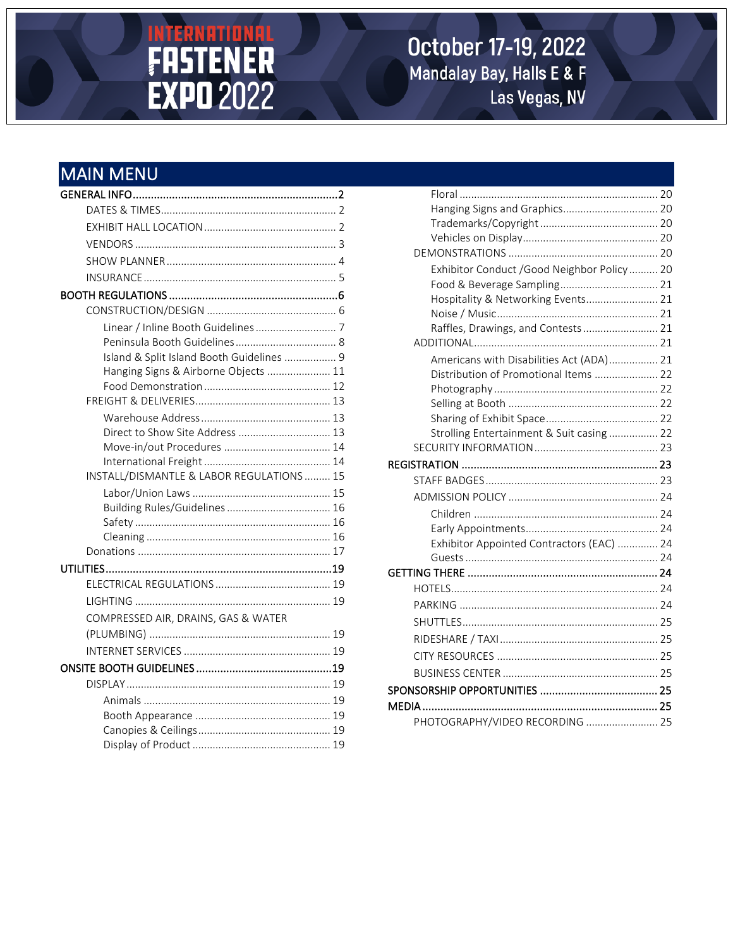# **INTERNATIONAL ASTEN** ER F **EXPO** 2022

# October 17-19, 2022 Mandalay Bay, Halls E & F Las Vegas, NV

# <span id="page-0-1"></span>**MAIN MENU**

<span id="page-0-0"></span>

| Island & Split Island Booth Guidelines  9 |  |
|-------------------------------------------|--|
| Hanging Signs & Airborne Objects  11      |  |
|                                           |  |
|                                           |  |
|                                           |  |
| Direct to Show Site Address  13           |  |
|                                           |  |
|                                           |  |
| INSTALL/DISMANTLE & LABOR REGULATIONS  15 |  |
|                                           |  |
|                                           |  |
|                                           |  |
|                                           |  |
|                                           |  |
|                                           |  |
|                                           |  |
|                                           |  |
| COMPRESSED AIR, DRAINS, GAS & WATER       |  |
|                                           |  |
|                                           |  |
|                                           |  |
|                                           |  |
|                                           |  |
|                                           |  |
|                                           |  |
|                                           |  |

| Hanging Signs and Graphics 20              |  |
|--------------------------------------------|--|
|                                            |  |
|                                            |  |
|                                            |  |
| Exhibitor Conduct /Good Neighbor Policy 20 |  |
|                                            |  |
| Hospitality & Networking Events 21         |  |
|                                            |  |
| Raffles, Drawings, and Contests 21         |  |
|                                            |  |
| Americans with Disabilities Act (ADA) 21   |  |
| Distribution of Promotional Items  22      |  |
|                                            |  |
|                                            |  |
| Strolling Entertainment & Suit casing 22   |  |
|                                            |  |
|                                            |  |
|                                            |  |
|                                            |  |
|                                            |  |
|                                            |  |
|                                            |  |
| Exhibitor Appointed Contractors (EAC)  24  |  |
|                                            |  |
|                                            |  |
|                                            |  |
|                                            |  |
|                                            |  |
|                                            |  |
|                                            |  |
|                                            |  |
|                                            |  |
|                                            |  |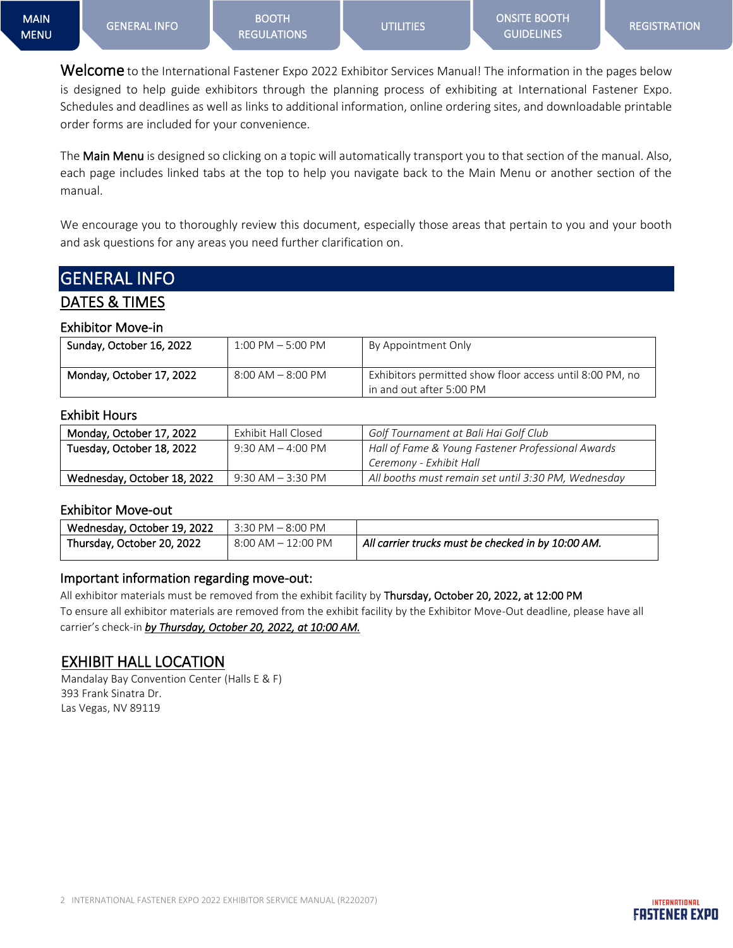Welcome to the International Fastener Expo 2022 Exhibitor Services Manual! The information in the pages below is designed to help guide exhibitors through the planning process of exhibiting at International Fastener Expo. Schedules and deadlines as well as links to additional information, online ordering sites, and downloadable printable order forms are included for your convenience.

The Main Menu is designed so clicking on a topic will automatically transport you to that section of the manual. Also, each page includes linked tabs at the top to help you navigate back to the Main Menu or another section of the manual.

We encourage you to thoroughly review this document, especially those areas that pertain to you and your booth and ask questions for any areas you need further clarification on.

# <span id="page-1-0"></span>GENERAL INFO

### <span id="page-1-1"></span>DATES & TIMES

#### Exhibitor Move-in

| Sunday, October 16, 2022 | $1:00$ PM $-5:00$ PM | By Appointment Only                                                                  |
|--------------------------|----------------------|--------------------------------------------------------------------------------------|
| Monday, October 17, 2022 | $8:00$ AM $ 8:00$ PM | Exhibitors permitted show floor access until 8:00 PM, no<br>in and out after 5:00 PM |

#### Exhibit Hours

| Monday, October 17, 2022<br>Exhibit Hall Closed |                       | Golf Tournament at Bali Hai Golf Club               |  |
|-------------------------------------------------|-----------------------|-----------------------------------------------------|--|
| Tuesday, October 18, 2022                       | $9:30$ AM $-$ 4:00 PM | Hall of Fame & Young Fastener Professional Awards   |  |
|                                                 |                       | Ceremony - Exhibit Hall                             |  |
| Wednesday, October 18, 2022                     | $9:30$ AM $-$ 3:30 PM | All booths must remain set until 3:30 PM, Wednesday |  |

#### Exhibitor Move-out

| Wednesday, October 19, 2022 | $13:30$ PM $-8:00$ PM |                                                    |
|-----------------------------|-----------------------|----------------------------------------------------|
| Thursday, October 20, 2022  | $8:00$ AM $-12:00$ PM | All carrier trucks must be checked in by 10:00 AM. |

#### Important information regarding move-out:

All exhibitor materials must be removed from the exhibit facility by Thursday, October 20, 2022, at 12:00 PM To ensure all exhibitor materials are removed from the exhibit facility by the Exhibitor Move-Out deadline, please have all carrier's check-in *by Thursday, October 20, 2022, at 10:00 AM.*

# <span id="page-1-2"></span>EXHIBIT HALL LOCATION

Mandalay Bay Convention Center (Halls E & F) 393 Frank Sinatra Dr. Las Vegas, NV 89119

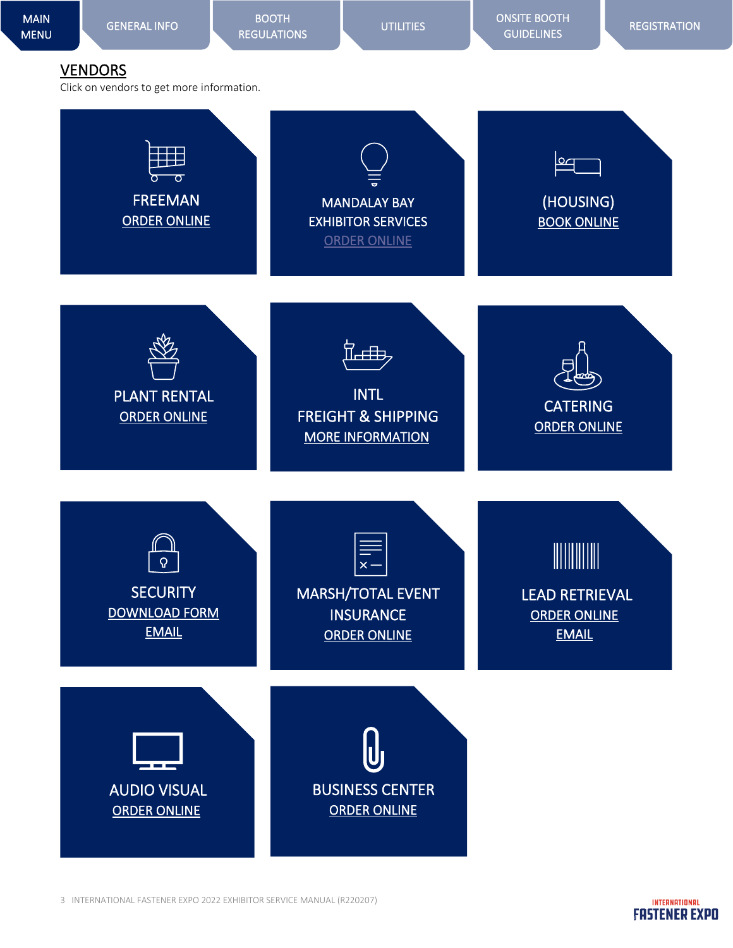<span id="page-2-0"></span>

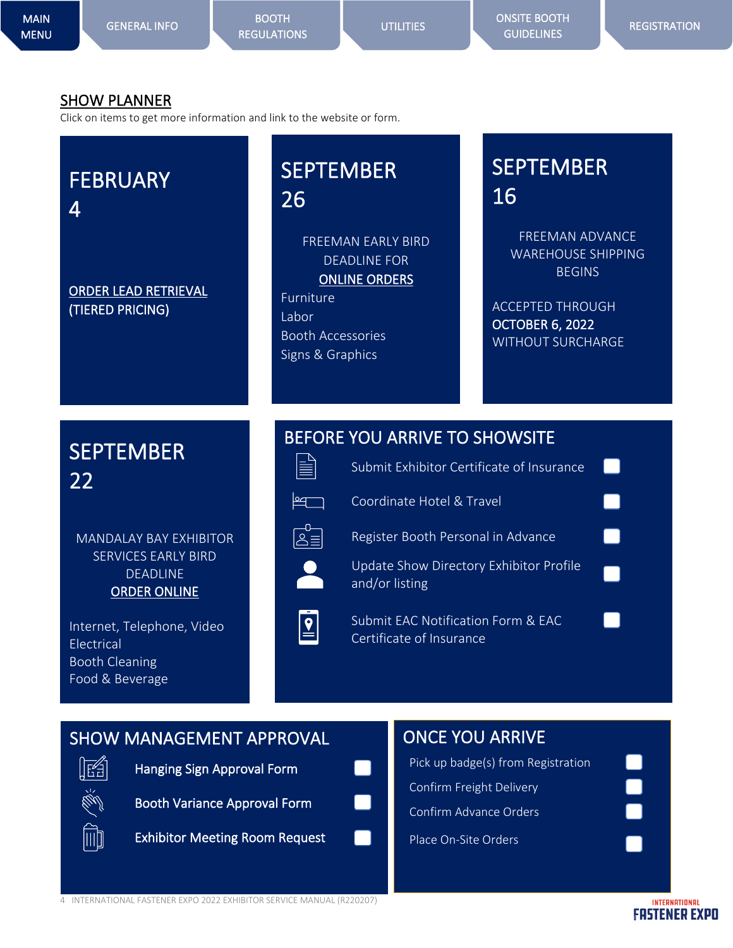# <span id="page-3-0"></span>SHOW PLANNER

Click on items to get more information and link to the website or form.

# FEBRUARY 4

[ORDER LEAD RETRIEVAL](https://fastenershows.com/wp-content/uploads/2022/04/Lead-Retrieval-Order-Form.pdf)  (TIERED PRICING)

# SEPTEMBER 26

FREEMAN EARLY BIRD DEADLINE FOR [ONLINE ORDERS](https://www.freemanco.com/store/show/landing?showID=509847)  Furniture Labor Booth Accessories

▁

⋒

Signs & Graphics

# SEPTEMBER 16

FREEMAN ADVANCE WAREHOUSE SHIPPING BEGINS

ACCEPTED THROUGH OCTOBER 6, 2022 WITHOUT SURCHARGE

# SEPTEMBER 22

MANDALAY BAY EXHIBITOR SERVICES EARLY BIRD DEADLINE **ORDER ONLINE** 

Internet, Telephone, Video Electrical Booth Cleaning Food & Beverage

|                           | <b>BEFORE YOU ARRIVE TO SHOWSITE</b>                                      |  |
|---------------------------|---------------------------------------------------------------------------|--|
| $\left \mathbf{r}\right $ | Submit Exhibitor Certificate of Insurance                                 |  |
| ∣थ                        | Coordinate Hotel & Travel                                                 |  |
| <b>AET</b>                | Register Booth Personal in Advance                                        |  |
|                           | Update Show Directory Exhibitor Profile<br>and/or listing                 |  |
| $\overline{\mathbf{S}}$   | <b>Submit EAC Notification Form &amp; EAC</b><br>Certificate of Insurance |  |

# SHOW MANAGEMENT APPROVAL



Hanging Sign Approval Form

Booth Variance Approval Form

Exhibitor Meeting Room Request

# ONCE YOU ARRIVE

Pick up badge(s) from Registration Confirm Freight Delivery Confirm Advance Orders Place On-Site Orders



٦

D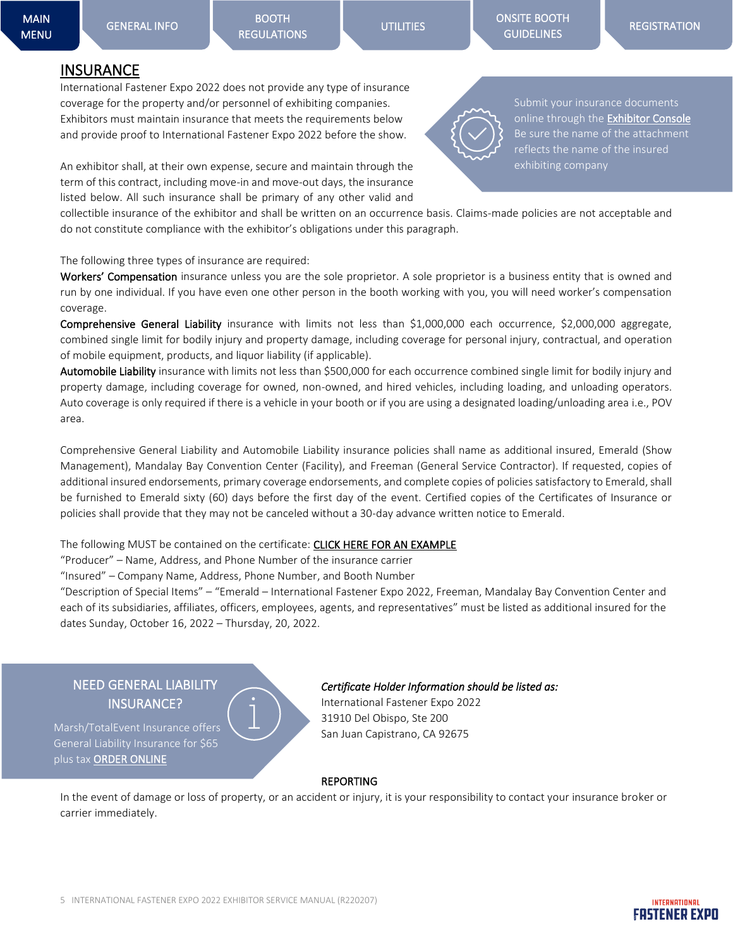#### <span id="page-4-0"></span>**INSURANCE**

International Fastener Expo 2022 does not provide any type of insurance coverage for the property and/or personnel of exhibiting companies. Exhibitors must maintain insurance that meets the requirements below and provide proof to International Fastener Expo 2022 before the show.

An exhibitor shall, at their own expense, secure and maintain through the term of this contract, including move-in and move-out days, the insurance listed below. All such insurance shall be primary of any other valid and

collectible insurance of the exhibitor and shall be written on an occurrence basis. Claims-made policies are not acceptable and do not constitute compliance with the exhibitor's obligations under this paragraph.

The following three types of insurance are required:

Workers' Compensation insurance unless you are the sole proprietor. A sole proprietor is a business entity that is owned and run by one individual. If you have even one other person in the booth working with you, you will need worker's compensation coverage.

Comprehensive General Liability insurance with limits not less than \$1,000,000 each occurrence, \$2,000,000 aggregate, combined single limit for bodily injury and property damage, including coverage for personal injury, contractual, and operation of mobile equipment, products, and liquor liability (if applicable).

Automobile Liability insurance with limits not less than \$500,000 for each occurrence combined single limit for bodily injury and property damage, including coverage for owned, non-owned, and hired vehicles, including loading, and unloading operators. Auto coverage is only required if there is a vehicle in your booth or if you are using a designated loading/unloading area i.e., POV area.

Comprehensive General Liability and Automobile Liability insurance policies shall name as additional insured, Emerald (Show Management), Mandalay Bay Convention Center (Facility), and Freeman (General Service Contractor). If requested, copies of additional insured endorsements, primary coverage endorsements, and complete copies of policies satisfactory to Emerald, shall be furnished to Emerald sixty (60) days before the first day of the event. Certified copies of the Certificates of Insurance or policies shall provide that they may not be canceled without a 30-day advance written notice to Emerald.

The following MUST be contained on the certificate: CLICK HERE FOR AN EXAMPLE

"Producer" – Name, Address, and Phone Number of the insurance carrier

"Insured" – Company Name, Address, Phone Number, and Booth Number

"Description of Special Items" – "Emerald – International Fastener Expo 2022, Freeman, Mandalay Bay Convention Center and each of its subsidiaries, affiliates, officers, employees, agents, and representatives" must be listed as additional insured for the dates Sunday, October 16, 2022 – Thursday, 20, 2022.

# NEED GENERAL LIABILITY INSURANCE?

Marsh/TotalEvent Insurance offers plus tax [ORDER ONLINE](https://www.totaleventinsurance.com/app/Customer/ExhibitorAnnual.aspx?eid=vCxmYWCmmfo$)



#### *Certificate Holder Information should be listed as:*

International Fastener Expo 2022 31910 Del Obispo, Ste 200 San Juan Capistrano, CA 92675

#### <span id="page-4-1"></span>REPORTING

In the event of damage or loss of property, or an accident or injury, it is your responsibility to contact your insurance broker or carrier immediately.



online through the **Exhibitor Console** exhibiting company

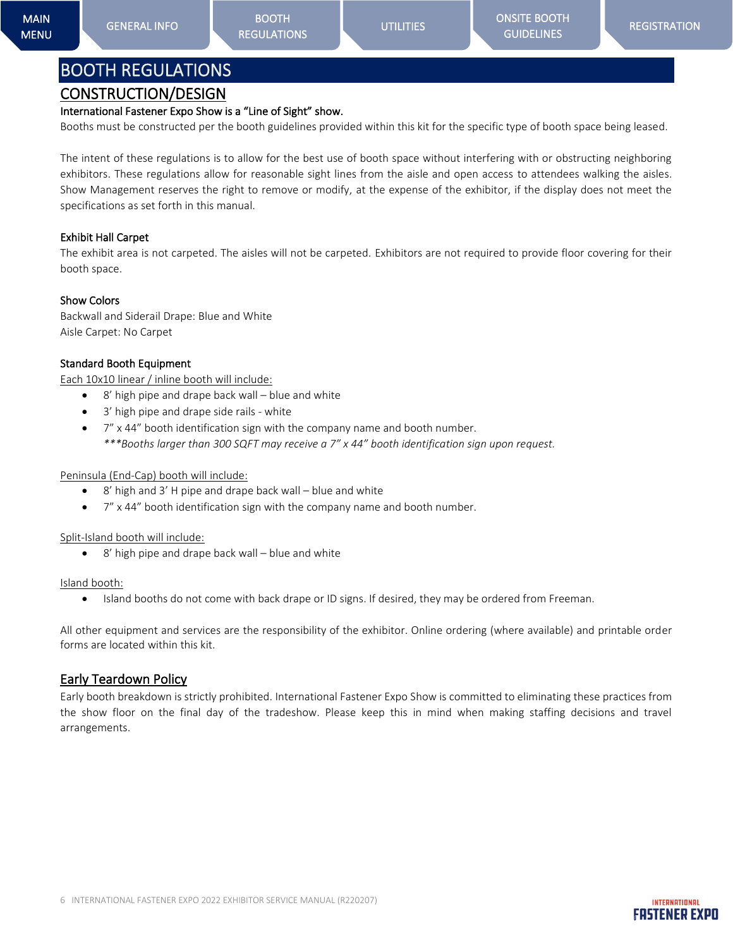# <span id="page-5-0"></span>BOOTH REGULATIONS

### <span id="page-5-1"></span>CONSTRUCTION/DESIGN

#### International Fastener Expo Show is a "Line of Sight" show.

Booths must be constructed per the booth guidelines provided within this kit for the specific type of booth space being leased.

The intent of these regulations is to allow for the best use of booth space without interfering with or obstructing neighboring exhibitors. These regulations allow for reasonable sight lines from the aisle and open access to attendees walking the aisles. Show Management reserves the right to remove or modify, at the expense of the exhibitor, if the display does not meet the specifications as set forth in this manual.

#### Exhibit Hall Carpet

The exhibit area is not carpeted. The aisles will not be carpeted. Exhibitors are not required to provide floor covering for their booth space.

#### Show Colors

Backwall and Siderail Drape: Blue and White Aisle Carpet: No Carpet

#### Standard Booth Equipment

Each 10x10 linear / inline booth will include:

- 8' high pipe and drape back wall blue and white
- 3' high pipe and drape side rails white
- 7" x 44" booth identification sign with the company name and booth number. *\*\*\*Booths larger than 300 SQFT may receive a 7" x 44" booth identification sign upon request.*

Peninsula (End-Cap) booth will include:

- 8' high and 3' H pipe and drape back wall blue and white
- 7" x 44" booth identification sign with the company name and booth number.

Split-Island booth will include:

• 8' high pipe and drape back wall – blue and white

#### Island booth:

• Island booths do not come with back drape or ID signs. If desired, they may be ordered from Freeman.

All other equipment and services are the responsibility of the exhibitor. Online ordering (where available) and printable order forms are located within this kit.

#### <span id="page-5-2"></span>Early Teardown Policy

Early booth breakdown is strictly prohibited. International Fastener Expo Show is committed to eliminating these practices from the show floor on the final day of the tradeshow. Please keep this in mind when making staffing decisions and travel arrangements.

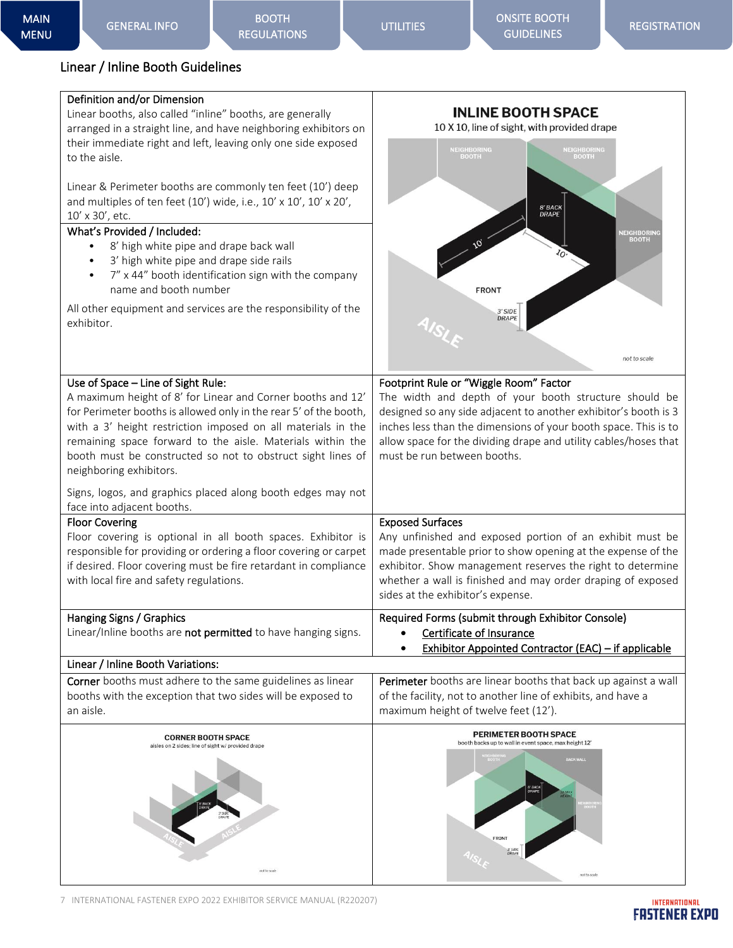# <span id="page-6-0"></span>Linear / Inline Booth Guidelines

| Definition and/or Dimension<br>Linear booths, also called "inline" booths, are generally<br>arranged in a straight line, and have neighboring exhibitors on<br>their immediate right and left, leaving only one side exposed<br>to the aisle.<br>Linear & Perimeter booths are commonly ten feet (10') deep<br>and multiples of ten feet (10') wide, i.e., 10' x 10', 10' x 20',<br>10' x 30', etc.<br>What's Provided / Included:<br>8' high white pipe and drape back wall<br>$\bullet$<br>3' high white pipe and drape side rails<br>$\bullet$<br>7" x 44" booth identification sign with the company<br>name and booth number<br>All other equipment and services are the responsibility of the<br>exhibitor. | <b>INLINE BOOTH SPACE</b><br>10 X 10, line of sight, with provided drape<br><b>NEIGHBORING</b><br>BOOTH<br><b>IEIGHBORING</b><br><b>OOTH</b><br>8' BACK<br><b>DRAPE</b><br>N <mark>EIGHBORIN</mark> G<br><b>BOOTH</b><br><b>FRONT</b><br>3' SIDE<br><b>DRAPE</b><br>not to scale                                                         |
|-------------------------------------------------------------------------------------------------------------------------------------------------------------------------------------------------------------------------------------------------------------------------------------------------------------------------------------------------------------------------------------------------------------------------------------------------------------------------------------------------------------------------------------------------------------------------------------------------------------------------------------------------------------------------------------------------------------------|------------------------------------------------------------------------------------------------------------------------------------------------------------------------------------------------------------------------------------------------------------------------------------------------------------------------------------------|
| Use of Space - Line of Sight Rule:<br>A maximum height of 8' for Linear and Corner booths and 12'<br>for Perimeter booths is allowed only in the rear 5' of the booth,<br>with a 3' height restriction imposed on all materials in the<br>remaining space forward to the aisle. Materials within the<br>booth must be constructed so not to obstruct sight lines of<br>neighboring exhibitors.<br>Signs, logos, and graphics placed along booth edges may not<br>face into adjacent booths.                                                                                                                                                                                                                       | Footprint Rule or "Wiggle Room" Factor<br>The width and depth of your booth structure should be<br>designed so any side adjacent to another exhibitor's booth is 3<br>inches less than the dimensions of your booth space. This is to<br>allow space for the dividing drape and utility cables/hoses that<br>must be run between booths. |
| <b>Floor Covering</b><br>Floor covering is optional in all booth spaces. Exhibitor is<br>responsible for providing or ordering a floor covering or carpet<br>if desired. Floor covering must be fire retardant in compliance<br>with local fire and safety regulations.                                                                                                                                                                                                                                                                                                                                                                                                                                           | <b>Exposed Surfaces</b><br>Any unfinished and exposed portion of an exhibit must be<br>made presentable prior to show opening at the expense of the<br>exhibitor. Show management reserves the right to determine<br>whether a wall is finished and may order draping of exposed<br>sides at the exhibitor's expense.                    |
| Hanging Signs / Graphics<br>Linear/Inline booths are not permitted to have hanging signs.                                                                                                                                                                                                                                                                                                                                                                                                                                                                                                                                                                                                                         | Required Forms (submit through Exhibitor Console)<br><b>Certificate of Insurance</b><br>Exhibitor Appointed Contractor (EAC) - if applicable                                                                                                                                                                                             |
| Linear / Inline Booth Variations:                                                                                                                                                                                                                                                                                                                                                                                                                                                                                                                                                                                                                                                                                 |                                                                                                                                                                                                                                                                                                                                          |
| Corner booths must adhere to the same guidelines as linear<br>booths with the exception that two sides will be exposed to<br>an aisle.                                                                                                                                                                                                                                                                                                                                                                                                                                                                                                                                                                            | Perimeter booths are linear booths that back up against a wall<br>of the facility, not to another line of exhibits, and have a<br>maximum height of twelve feet (12').                                                                                                                                                                   |
| <b>CORNER BOOTH SPACE</b><br>aisles on 2 sides; line of sight w/ provided drape<br>not to scale                                                                                                                                                                                                                                                                                                                                                                                                                                                                                                                                                                                                                   | PERIMETER BOOTH SPACE<br>booth backs up to wall in event space, max height 12<br><b>BACK WALL</b><br><b>FRONT</b><br>not to scale                                                                                                                                                                                                        |

7 INTERNATIONAL FASTENER EXPO 2022 EXHIBITOR SERVICE MANUAL (R220207)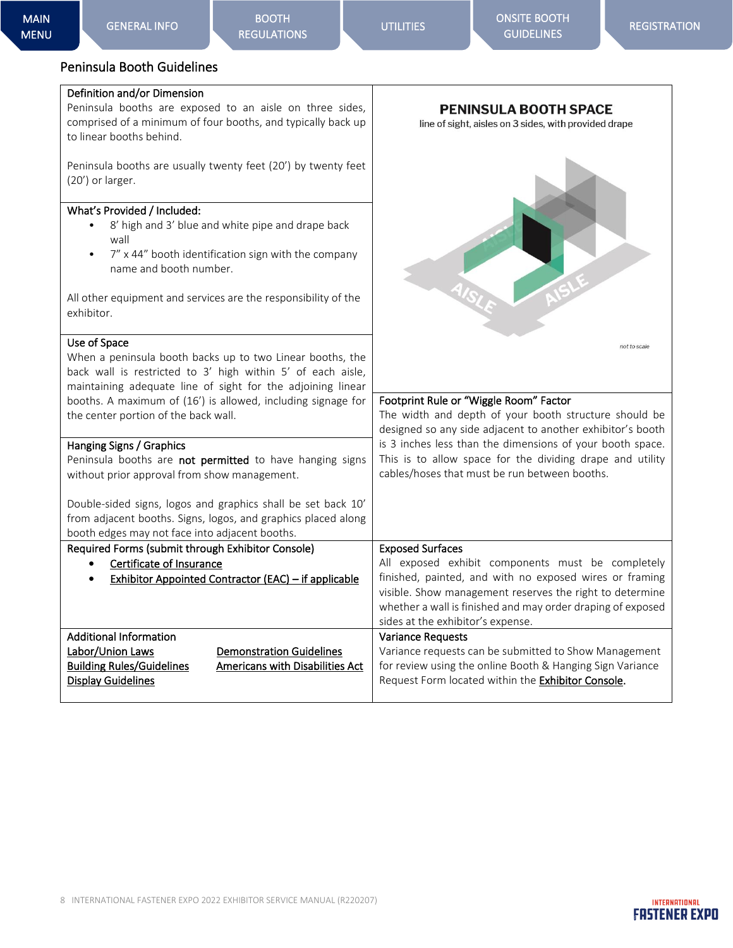**PENINSULA BOOTH SPACE** line of sight, aisles on 3 sides, with provided drape

not to scale

#### <span id="page-7-0"></span>Peninsula Booth Guidelines

#### Definition and/or Dimension

Peninsula booths are exposed to an aisle on three sides, comprised of a minimum of four booths, and typically back up to linear booths behind.

Peninsula booths are usually twenty feet (20') by twenty feet (20') or larger.

#### What's Provided / Included:

- 8' high and 3' blue and white pipe and drape back wall
- 7" x 44" booth identification sign with the company name and booth number.

All other equipment and services are the responsibility of the exhibitor.

#### Use of Space

When a peninsula booth backs up to two Linear booths, the back wall is restricted to 3' high within 5' of each aisle, maintaining adequate line of sight for the adjoining linear booths. A maximum of (16') is allowed, including signage for the center portion of the back wall.

#### Hanging Signs / Graphics

Additional Information

<span id="page-7-1"></span>[Display Guidelines](#page-18-11) 

Peninsula booths are not permitted to have hanging signs without prior approval from show management.

Double-sided signs, logos and graphics shall be set back 10' from adjacent booths. Signs, logos, and graphics placed along booth edges may not face into adjacent booths.

- Required Forms (submit through Exhibitor Console) Certificate of Insurance
	- **[Exhibitor Appointed Contractor \(EAC\)](https://fastener.a2zinc.net/IFE2022/public/e_exhibitorconsole.aspx)  if applicable**

[Labor/Union Laws](#page-14-1) Demonstration Guidelines [Building Rules/Guidelines](#page-15-3) Americans with Disabilities Act Exposed Surfaces All exposed exhibit components must be completely finished, painted, and with no exposed wires or framing visible. Show management reserves the right to determine whether a wall is finished and may order draping of exposed sides at the exhibitor's expense.

The width and depth of your booth structure should be designed so any side adjacent to another exhibitor's booth is 3 inches less than the dimensions of your booth space. This is to allow space for the dividing drape and utility

Footprint Rule or "Wiggle Room" Factor

cables/hoses that must be run between booths.

#### Variance Requests

Variance requests can be submitted to Show Management for review using the online Booth & Hanging Sign Variance Request Form located within th[e Exhibitor Console.](https://fastener.a2zinc.net/IFE2022/public/e_exhibitorconsole.aspx)

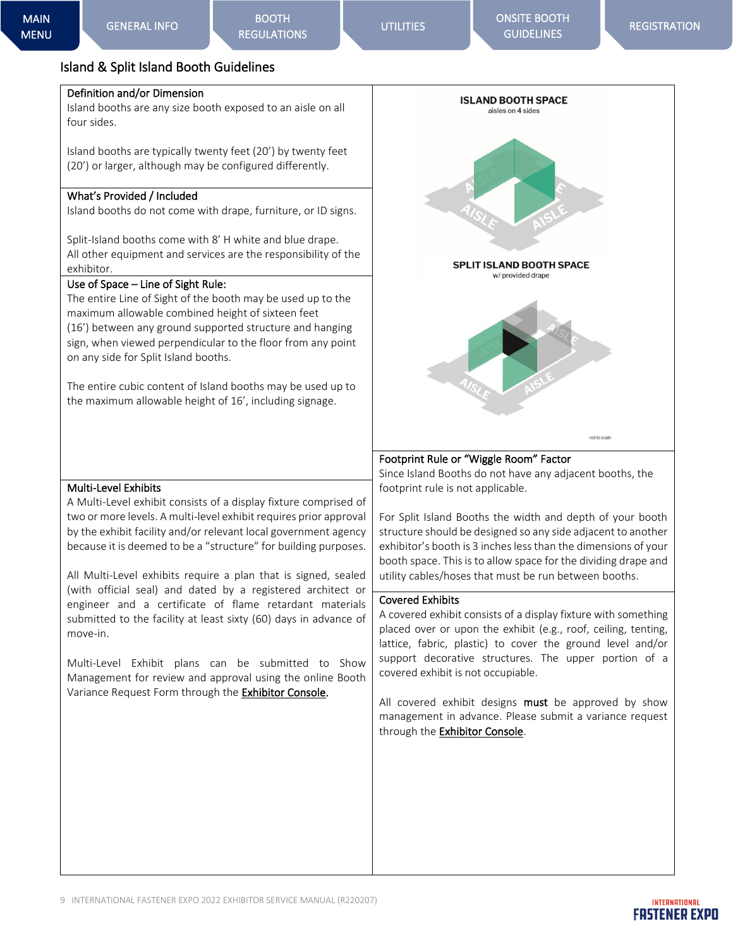# <span id="page-8-0"></span>Island & Split Island Booth Guidelines

#### Definition and/or Dimension

Island booths are any size booth exposed to an aisle on all four sides.

Island booths are typically twenty feet (20') by twenty feet (20') or larger, although may be configured differently.

#### What's Provided / Included

Island booths do not come with drape, furniture, or ID signs.

Split-Island booths come with 8' H white and blue drape. All other equipment and services are the responsibility of the exhibitor.

#### Use of Space – Line of Sight Rule:

The entire Line of Sight of the booth may be used up to the maximum allowable combined height of sixteen feet (16') between any ground supported structure and hanging sign, when viewed perpendicular to the floor from any point on any side for Split Island booths.

The entire cubic content of Island booths may be used up to the maximum allowable height of 16', including signage.



### Multi-Level Exhibits

A Multi-Level exhibit consists of a display fixture comprised of two or more levels. A multi-level exhibit requires prior approval by the exhibit facility and/or relevant local government agency because it is deemed to be a "structure" for building purposes.

All Multi-Level exhibits require a plan that is signed, sealed (with official seal) and dated by a registered architect or engineer and a certificate of flame retardant materials submitted to the facility at least sixty (60) days in advance of move-in.

Multi-Level Exhibit plans can be submitted to Show Management for review and approval using the online Booth Variance Request Form through the [Exhibitor Console.](https://fastener.a2zinc.net/IFE2022/public/e_exhibitorconsole.aspx)

Footprint Rule or "Wiggle Room" Factor

Since Island Booths do not have any adjacent booths, the footprint rule is not applicable.

For Split Island Booths the width and depth of your booth structure should be designed so any side adjacent to another exhibitor's booth is 3 inches less than the dimensions of your booth space. This is to allow space for the dividing drape and utility cables/hoses that must be run between booths.

#### Covered Exhibits

A covered exhibit consists of a display fixture with something placed over or upon the exhibit (e.g., roof, ceiling, tenting, lattice, fabric, plastic) to cover the ground level and/or support decorative structures. The upper portion of a covered exhibit is not occupiable.

All covered exhibit designs must be approved by show management in advance. Please submit a variance request through the **Exhibitor Console**.

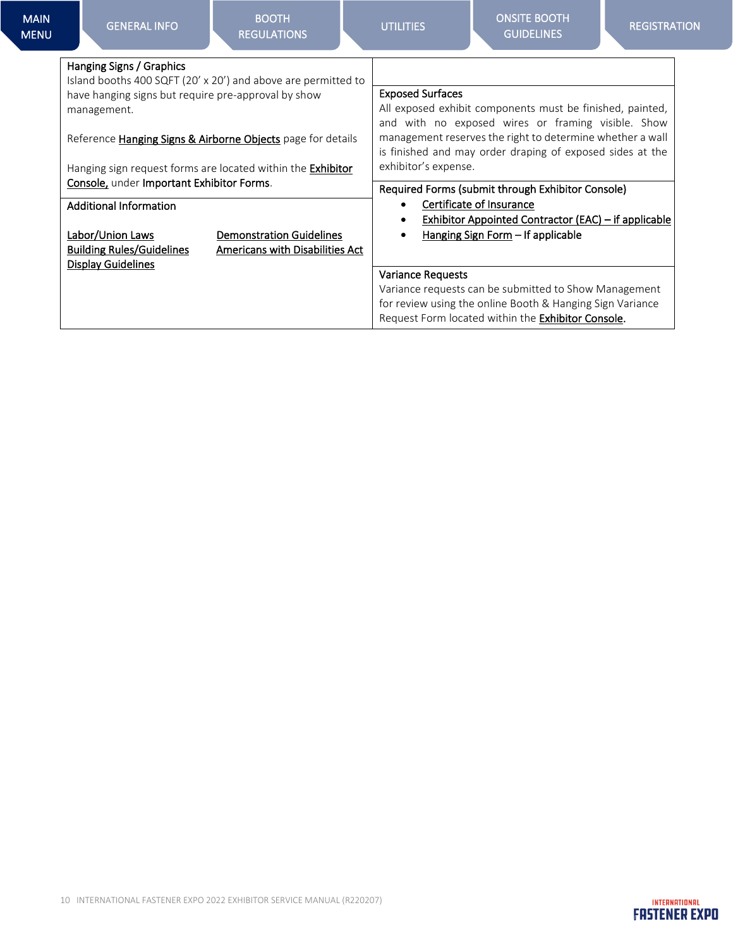| <b>MAIN</b><br><b>MENU</b> | <b>GENERAL INFO</b>                                                                                                                                                          | <b>BOOTH</b><br><b>REGULATIONS</b>                                                                                                                                                          | <b>UTILITIES</b>                                | <b>ONSITE BOOTH</b><br><b>GUIDELINES</b>                                                                                                                                                                                                                                                                                                                                                  | <b>REGISTRATION</b> |
|----------------------------|------------------------------------------------------------------------------------------------------------------------------------------------------------------------------|---------------------------------------------------------------------------------------------------------------------------------------------------------------------------------------------|-------------------------------------------------|-------------------------------------------------------------------------------------------------------------------------------------------------------------------------------------------------------------------------------------------------------------------------------------------------------------------------------------------------------------------------------------------|---------------------|
|                            | Hanging Signs / Graphics<br>have hanging signs but require pre-approval by show<br>management.<br>Console, under Important Exhibitor Forms.<br><b>Additional Information</b> | Island booths 400 SQFT (20' x 20') and above are permitted to<br>Reference Hanging Signs & Airborne Objects page for details<br>Hanging sign request forms are located within the Exhibitor | <b>Exposed Surfaces</b><br>exhibitor's expense. | All exposed exhibit components must be finished, painted,<br>and with no exposed wires or framing visible. Show<br>management reserves the right to determine whether a wall<br>is finished and may order draping of exposed sides at the<br>Required Forms (submit through Exhibitor Console)<br>Certificate of Insurance<br><b>Exhibitor Appointed Contractor (EAC) – if applicable</b> |                     |
|                            | Labor/Union Laws<br><b>Building Rules/Guidelines</b><br><b>Display Guidelines</b>                                                                                            | <b>Demonstration Guidelines</b><br>Americans with Disabilities Act                                                                                                                          | <b>Variance Requests</b>                        | Hanging Sign Form - If applicable<br>Variance requests can be submitted to Show Management<br>for review using the online Booth & Hanging Sign Variance<br>Request Form located within the Exhibitor Console.                                                                                                                                                                             |                     |

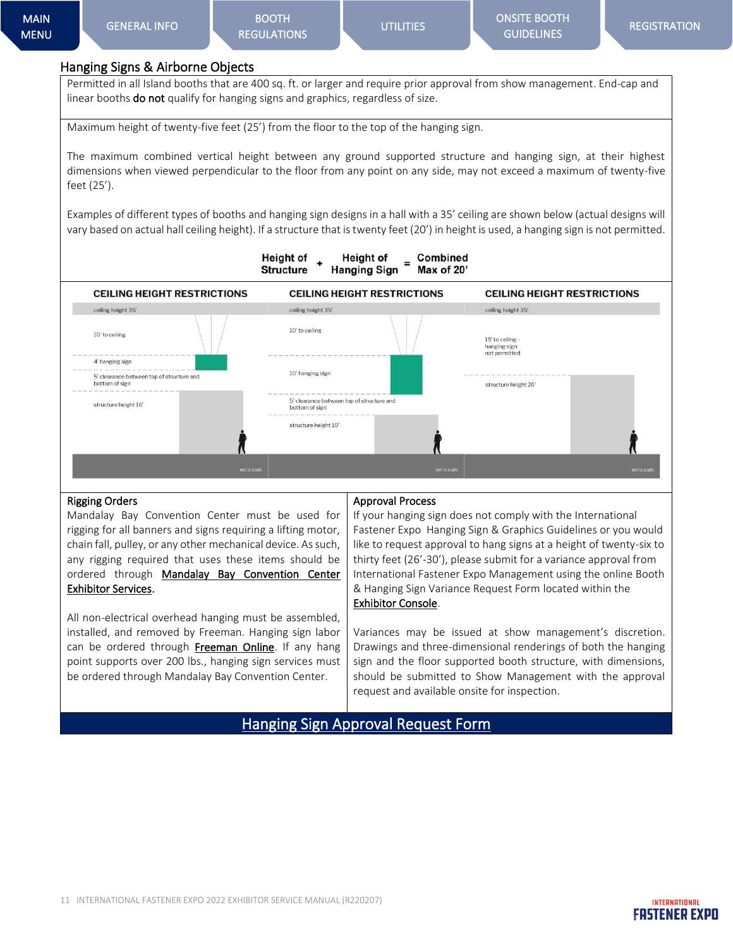# <span id="page-10-0"></span>Hanging Signs & Airborne Objects

Permitted in all Island booths that are 400 sq. ft. or larger and require prior approval from show management. End-cap and linear booths do not qualify for hanging signs and graphics, regardless of size.

Maximum height of twenty-five feet (25') from the floor to the top of the hanging sign.

The maximum combined vertical height between any ground supported structure and hanging sign, at their highest dimensions when viewed perpendicular to the floor from any point on any side, may not exceed a maximum of twenty-five feet (25').

Examples of different types of booths and hanging sign designs in a hall with a 35' ceiling are shown below (actual designs will vary based on actual hall ceiling height). If a structure that is twenty feet (20') in height is used, a hanging sign is not permitted.



#### Rigging Orders

Mandalay Bay Convention Center must be used for rigging for all banners and signs requiring a lifting motor, chain fall, pulley, or any other mechanical device. As such, any rigging required that uses these items should be ordered through [Mandalay Bay Convention Center](https://www.mandalaybayexhibitorservices.com/Pages/Security/Login.aspx?ReturnUrl=%2fPages%2fCustomer%2fDashboard.aspx)  [Exhibitor Services.](https://www.mandalaybayexhibitorservices.com/Pages/Security/Login.aspx?ReturnUrl=%2fPages%2fCustomer%2fDashboard.aspx)

All non-electrical overhead hanging must be assembled, installed, and removed by Freeman. Hanging sign labor can be ordered through [Freeman Online.](https://www.freemanco.com/store/show/landing?showID=509847) If any hang point supports over 200 lbs., hanging sign services must be ordered through Mandalay Bay Convention Center.

#### Approval Process

If your hanging sign does not comply with the International Fastener Expo Hanging Sign & Graphics Guidelines or you would like to request approval to hang signs at a height of twenty-six to thirty feet (26'-30'), please submit for a variance approval from International Fastener Expo Management using the online Booth & Hanging Sign Variance Request Form located within the [Exhibitor Console.](https://fastener.a2zinc.net/IFE2022/public/e_exhibitorconsole.aspx)

Variances may be issued at show management's discretion. Drawings and three-dimensional renderings of both the hanging sign and the floor supported booth structure, with dimensions, should be submitted to Show Management with the approval request and available onsite for inspection.

# [Hanging Sign Approval Request Form](https://fastener.a2zinc.net/IFE2022/public/e_exhibitorconsole.aspx)

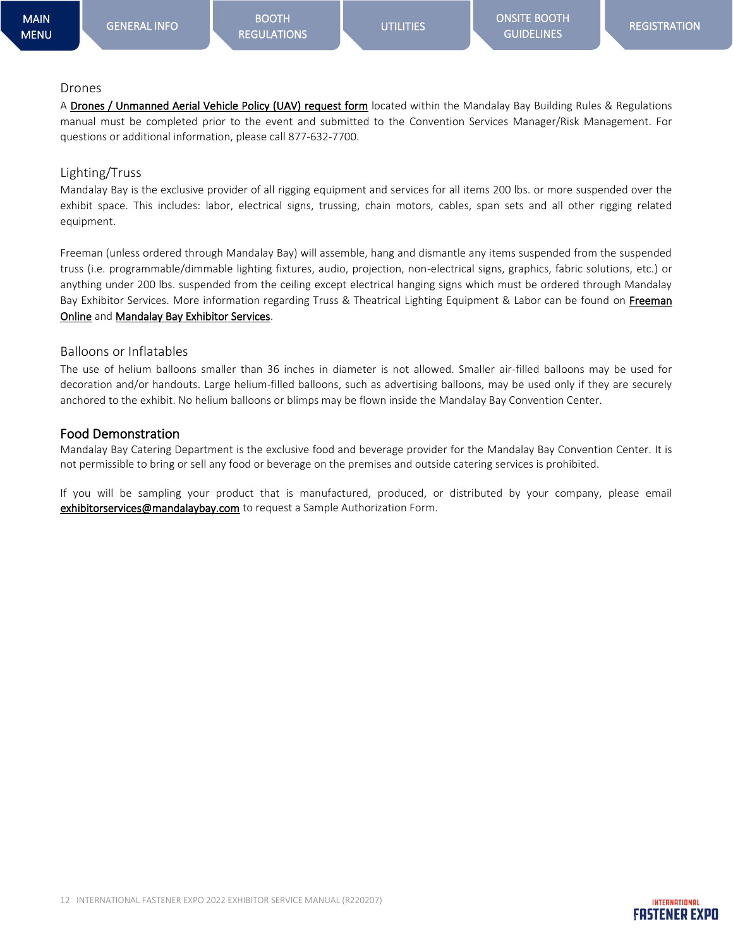#### Drones

[A Drones / Unmanned Aerial Vehicle Policy \(UAV\) request form](https://mandalaybay.mgmresorts.com/content/dam/MGM/mandalay-bay/meetings/documents/mandalay-bay-meetings-convention-drones-policy.pdf) located within the Mandalay Bay Building Rules & Regulations manual must be completed prior to the event and submitted to the Convention Services Manager/Risk Management. For questions or additional information, please call 877-632-7700.

#### Lighting/Truss

Mandalay Bay is the exclusive provider of all rigging equipment and services for all items 200 lbs. or more suspended over the exhibit space. This includes: labor, electrical signs, trussing, chain motors, cables, span sets and all other rigging related equipment.

Freeman (unless ordered through Mandalay Bay) will assemble, hang and dismantle any items suspended from the suspended truss (i.e. programmable/dimmable lighting fixtures, audio, projection, non-electrical signs, graphics, fabric solutions, etc.) or anything under 200 lbs. suspended from the ceiling except electrical hanging signs which must be ordered through Mandalay Bay Exhibitor Services. More information regarding Truss & Theatrical Lighting Equipment & Labor can be found on Freeman [Online](https://www.freemanco.com/forms/509847/truss_theatrical_lighting_equipment_labor.pdf) an[d Mandalay Bay Exhibitor Services.](https://www.mandalaybayexhibitorservices.com/Pages/Security/Login.aspx?ReturnUrl=%2fPages%2fCustomer%2fDashboard.aspx)

#### Balloons or Inflatables

The use of helium balloons smaller than 36 inches in diameter is not allowed. Smaller air-filled balloons may be used for decoration and/or handouts. Large helium-filled balloons, such as advertising balloons, may be used only if they are securely anchored to the exhibit. No helium balloons or blimps may be flown inside the Mandalay Bay Convention Center.

#### <span id="page-11-0"></span>Food Demonstration

Mandalay Bay Catering Department is the exclusive food and beverage provider for the Mandalay Bay Convention Center. It is not permissible to bring or sell any food or beverage on the premises and outside catering services is prohibited.

If you will be sampling your product that is manufactured, produced, or distributed by your company, please email [exhibitorservices@mandalaybay.com](mailto:exhibitorservices@mandalaybay.com) to request a Sample Authorization Form.

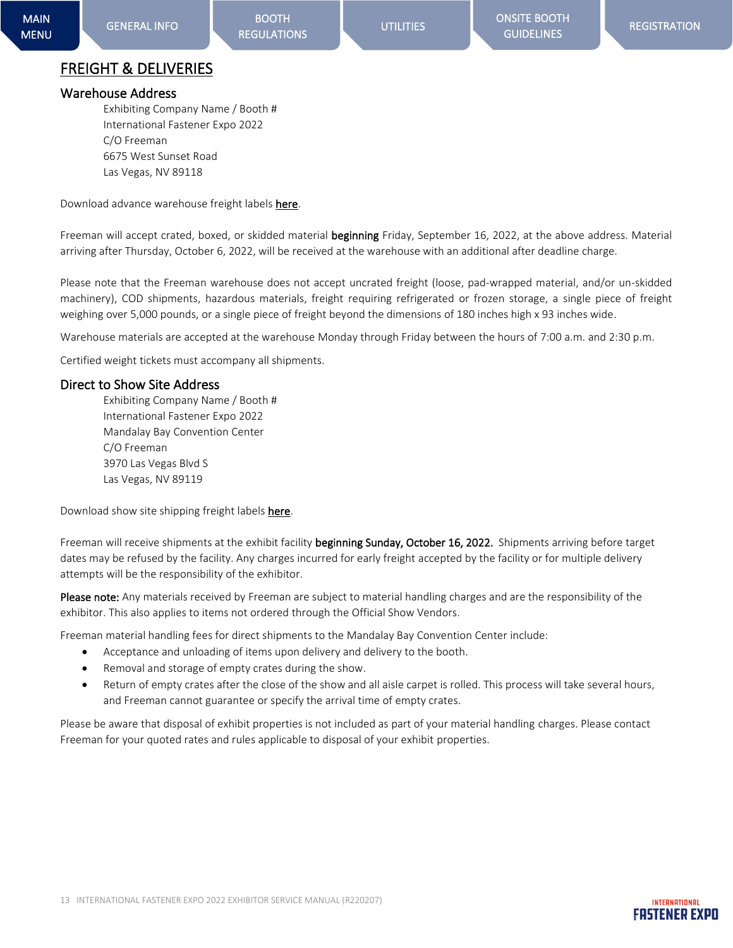# <span id="page-12-0"></span>FREIGHT & DELIVERIES

#### <span id="page-12-1"></span>Warehouse Address

Exhibiting Company Name / Booth # International Fastener Expo 2022 C/O Freeman 6675 West Sunset Road Las Vegas, NV 89118

Download advance warehouse freight labels [here.](https://www.freemanco.com/forms/509847/shipping_labels_warehouse.pdf)

Freeman will accept crated, boxed, or skidded material beginning Friday, September 16, 2022, at the above address. Material arriving after Thursday, October 6, 2022, will be received at the warehouse with an additional after deadline charge.

Please note that the Freeman warehouse does not accept uncrated freight (loose, pad-wrapped material, and/or un-skidded machinery), COD shipments, hazardous materials, freight requiring refrigerated or frozen storage, a single piece of freight weighing over 5,000 pounds, or a single piece of freight beyond the dimensions of 180 inches high x 93 inches wide.

Warehouse materials are accepted at the warehouse Monday through Friday between the hours of 7:00 a.m. and 2:30 p.m.

Certified weight tickets must accompany all shipments.

#### <span id="page-12-2"></span>Direct to Show Site Address

Exhibiting Company Name / Booth # International Fastener Expo 2022 Mandalay Bay Convention Center C/O Freeman 3970 Las Vegas Blvd S Las Vegas, NV 89119

Download show site shipping freight labels [here.](https://www.freemanco.com/forms/509847/shipping_labels_show_site.pdf)

Freeman will receive shipments at the exhibit facility beginning Sunday, October 16, 2022. Shipments arriving before target dates may be refused by the facility. Any charges incurred for early freight accepted by the facility or for multiple delivery attempts will be the responsibility of the exhibitor.

Please note: Any materials received by Freeman are subject to material handling charges and are the responsibility of the exhibitor. This also applies to items not ordered through the Official Show Vendors.

Freeman material handling fees for direct shipments to the Mandalay Bay Convention Center include:

- Acceptance and unloading of items upon delivery and delivery to the booth.
- Removal and storage of empty crates during the show.
- Return of empty crates after the close of the show and all aisle carpet is rolled. This process will take several hours, and Freeman cannot guarantee or specify the arrival time of empty crates.

Please be aware that disposal of exhibit properties is not included as part of your material handling charges. Please contact Freeman for your quoted rates and rules applicable to disposal of your exhibit properties.

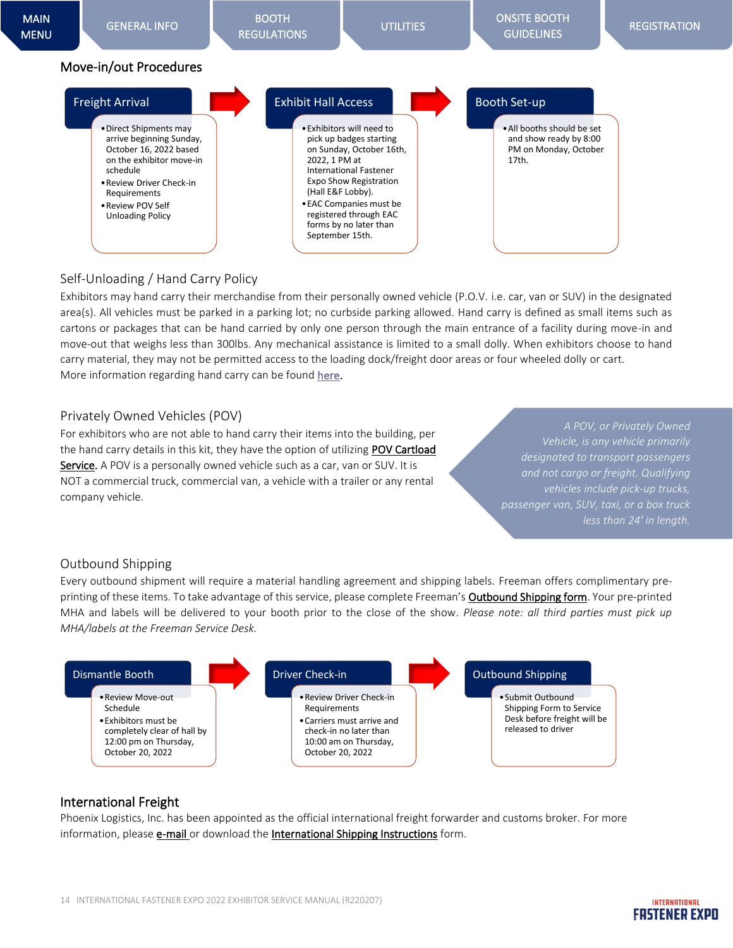<span id="page-13-0"></span>

#### Self-Unloading / Hand Carry Policy

Exhibitors may hand carry their merchandise from their personally owned vehicle (P.O.V. i.e. car, van or SUV) in the designated area(s). All vehicles must be parked in a parking lot; no curbside parking allowed. Hand carry is defined as small items such as cartons or packages that can be hand carried by only one person through the main entrance of a facility during move-in and move-out that weighs less than 300lbs. Any mechanical assistance is limited to a small dolly. When exhibitors choose to hand carry material, they may not be permitted access to the loading dock/freight door areas or four wheeled dolly or cart. More information regarding hand carry can be found [here.](https://www.freemanco.com/forms/509847/exhibitor_contractor_info.pdf)

#### Privately Owned Vehicles (POV)

For exhibitors who are not able to hand carry their items into the building, per the hand carry details in this kit, they have the option of utilizing POV Cartload [Service.](https://www.freemanco.com/forms/509847/pov_cart_service.pdf) A POV is a personally owned vehicle such as a car, van or SUV. It is NOT a commercial truck, commercial van, a vehicle with a trailer or any rental company vehicle.

*A POV, or Privately Owned Vehicle, is any vehicle primarily designated to transport passengers and not cargo or freight. Qualifying vehicles include pick-up trucks, passenger van, SUV, taxi, or a box truck less than 24' in length.*

#### Outbound Shipping

Every outbound shipment will require a material handling agreement and shipping labels. Freeman offers complimentary pre-printing of these items. To take advantage of this service, please complete Freeman's [Outbound Shipping form.](https://www.freemanco.com/forms/509847/outbound_shipping.pdf) Your pre-printed MHA and labels will be delivered to your booth prior to the close of the show. *Please note: all third parties must pick up MHA/labels at the Freeman Service Desk.*



#### <span id="page-13-1"></span>International Freight

Phoenix Logistics, Inc. has been appointed as the official international freight forwarder and customs broker. For more information, please **e-mail** or download the **International Shipping Instructions** form.

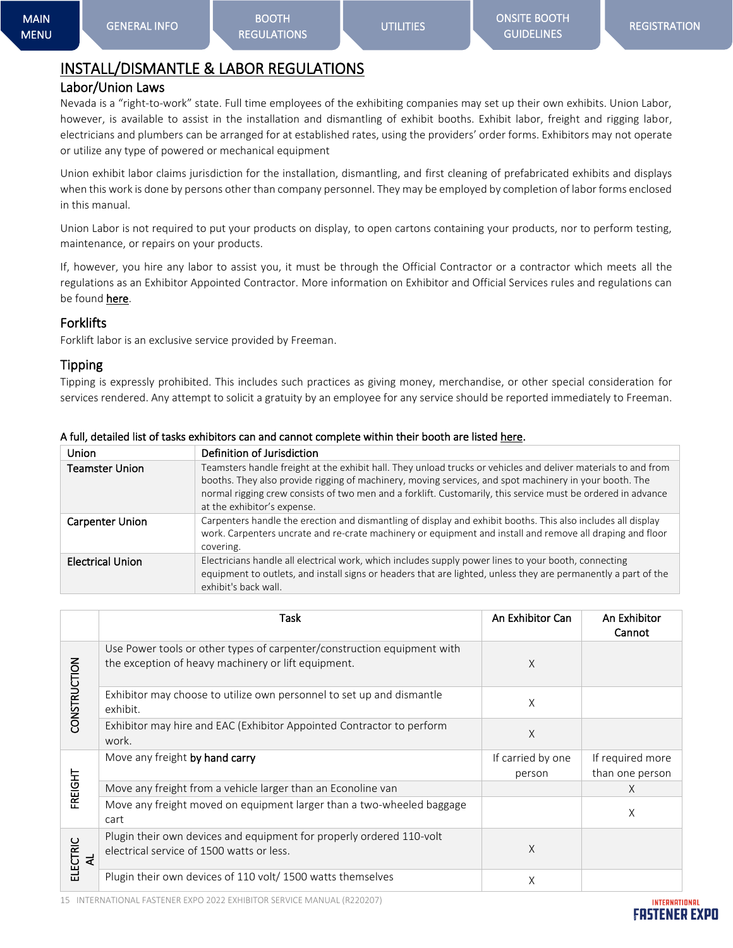# <span id="page-14-0"></span>INSTALL/DISMANTLE & LABOR REGULATIONS

# <span id="page-14-1"></span>Labor/Union Laws

Nevada is a "right-to-work" state. Full time employees of the exhibiting companies may set up their own exhibits. Union Labor, however, is available to assist in the installation and dismantling of exhibit booths. Exhibit labor, freight and rigging labor, electricians and plumbers can be arranged for at established rates, using the providers' order forms. Exhibitors may not operate or utilize any type of powered or mechanical equipment

Union exhibit labor claims jurisdiction for the installation, dismantling, and first cleaning of prefabricated exhibits and displays when this work is done by persons other than company personnel. They may be employed by completion of labor forms enclosed in this manual.

Union Labor is not required to put your products on display, to open cartons containing your products, nor to perform testing, maintenance, or repairs on your products.

If, however, you hire any labor to assist you, it must be through the Official Contractor or a contractor which meets all the regulations as an Exhibitor Appointed Contractor. More information on Exhibitor and Official Services rules and regulations can be found [here.](https://www.freemanco.com/forms/509847/exhibitor_contractor_info.pdf) 

#### Forklifts

Forklift labor is an exclusive service provided by Freeman.

#### Tipping

Tipping is expressly prohibited. This includes such practices as giving money, merchandise, or other special consideration for services rendered. Any attempt to solicit a gratuity by an employee for any service should be reported immediately to Freeman.

| Union                   | Definition of Jurisdiction                                                                                                                                                                                                                                                                                                                                              |
|-------------------------|-------------------------------------------------------------------------------------------------------------------------------------------------------------------------------------------------------------------------------------------------------------------------------------------------------------------------------------------------------------------------|
| <b>Teamster Union</b>   | Teamsters handle freight at the exhibit hall. They unload trucks or vehicles and deliver materials to and from<br>booths. They also provide rigging of machinery, moving services, and spot machinery in your booth. The<br>normal rigging crew consists of two men and a forklift. Customarily, this service must be ordered in advance<br>at the exhibitor's expense. |
| <b>Carpenter Union</b>  | Carpenters handle the erection and dismantling of display and exhibit booths. This also includes all display<br>work. Carpenters uncrate and re-crate machinery or equipment and install and remove all draping and floor<br>covering.                                                                                                                                  |
| <b>Electrical Union</b> | Electricians handle all electrical work, which includes supply power lines to your booth, connecting<br>equipment to outlets, and install signs or headers that are lighted, unless they are permanently a part of the<br>exhibit's back wall.                                                                                                                          |

| A full, detailed list of tasks exhibitors can and cannot complete within their booth are listed here. |  |
|-------------------------------------------------------------------------------------------------------|--|
|-------------------------------------------------------------------------------------------------------|--|

|               | Task                                                                                                                           | An Exhibitor Can            | An Exhibitor<br>Cannot              |
|---------------|--------------------------------------------------------------------------------------------------------------------------------|-----------------------------|-------------------------------------|
|               | Use Power tools or other types of carpenter/construction equipment with<br>the exception of heavy machinery or lift equipment. | X                           |                                     |
| CONSTRUCTION  | Exhibitor may choose to utilize own personnel to set up and dismantle<br>exhibit.                                              | X                           |                                     |
|               | Exhibitor may hire and EAC (Exhibitor Appointed Contractor to perform<br>work.                                                 | X                           |                                     |
|               | Move any freight by hand carry                                                                                                 | If carried by one<br>person | If required more<br>than one person |
| FREIGHT       | Move any freight from a vehicle larger than an Econoline van                                                                   |                             | X                                   |
|               | Move any freight moved on equipment larger than a two-wheeled baggage<br>cart                                                  |                             | Χ                                   |
| ELECTRIC<br>₹ | Plugin their own devices and equipment for properly ordered 110-volt<br>electrical service of 1500 watts or less.              | X                           |                                     |
|               | Plugin their own devices of 110 volt/ 1500 watts themselves                                                                    | X                           |                                     |

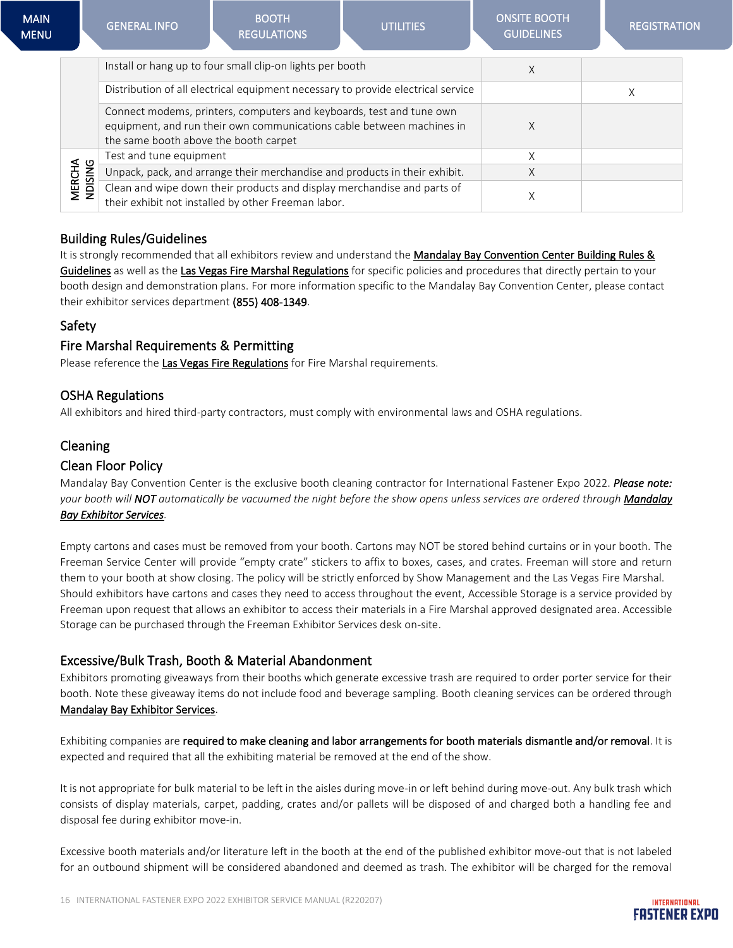| <b>MAIN</b><br><b>MENU</b> |                          | <b>BOOTH</b><br><b>GENERAL INFO</b><br><b>UTILITIES</b><br><b>REGULATIONS</b>                                                                                                          | <b>ONSITE BOOTH</b><br><b>GUIDELINES</b> | <b>REGISTRATION</b> |
|----------------------------|--------------------------|----------------------------------------------------------------------------------------------------------------------------------------------------------------------------------------|------------------------------------------|---------------------|
|                            |                          | Install or hang up to four small clip-on lights per booth                                                                                                                              | X                                        |                     |
|                            |                          | Distribution of all electrical equipment necessary to provide electrical service                                                                                                       |                                          | X                   |
|                            |                          | Connect modems, printers, computers and keyboards, test and tune own<br>equipment, and run their own communications cable between machines in<br>the same booth above the booth carpet | Χ                                        |                     |
|                            |                          | Test and tune equipment                                                                                                                                                                | Χ                                        |                     |
|                            |                          | Unpack, pack, and arrange their merchandise and products in their exhibit.                                                                                                             | Χ                                        |                     |
|                            | <b>MERCHA</b><br>NDISING | Clean and wipe down their products and display merchandise and parts of<br>their exhibit not installed by other Freeman labor.                                                         | Χ                                        |                     |

#### <span id="page-15-3"></span><span id="page-15-0"></span>Building Rules/Guidelines

It is strongly recommended that all exhibitors review and understand the Mandalay Bay Convention Center Building Rules & [Guidelines](https://mandalaybay.mgmresorts.com/content/dam/MGM/mandalay-bay/meetings/documents/mandalay-bay-meetings-convention-planning-guide.pdf) as well as the [Las Vegas Fire Marshal Regulations](https://www.freemanco.com/forms/509847/fire_regulations.pdf) for specific policies and procedures that directly pertain to your booth design and demonstration plans. For more information specific to the Mandalay Bay Convention Center, please contact their exhibitor services department (855) 408-1349.

#### <span id="page-15-1"></span>Safety

#### Fire Marshal Requirements & Permitting

Please reference th[e Las Vegas Fire Regulations](https://www.freemanco.com/forms/509847/fire_regulations.pdf) for Fire Marshal requirements.

#### OSHA Regulations

All exhibitors and hired third-party contractors, must comply with environmental laws and OSHA regulations.

#### <span id="page-15-2"></span>Cleaning

#### Clean Floor Policy

Mandalay Bay Convention Center is the exclusive booth cleaning contractor for International Fastener Expo 2022. *Please note: your booth will NOT automatically be vacuumed the night before the show opens unless services are ordered through [Mandalay](https://www.mandalaybayexhibitorservices.com/Pages/Security/Login.aspx?ReturnUrl=%2fPages%2fCustomer%2fDashboard.aspx)  [Bay Exhibitor Services.](https://www.mandalaybayexhibitorservices.com/Pages/Security/Login.aspx?ReturnUrl=%2fPages%2fCustomer%2fDashboard.aspx)*

Empty cartons and cases must be removed from your booth. Cartons may NOT be stored behind curtains or in your booth. The Freeman Service Center will provide "empty crate" stickers to affix to boxes, cases, and crates. Freeman will store and return them to your booth at show closing. The policy will be strictly enforced by Show Management and the Las Vegas Fire Marshal. Should exhibitors have cartons and cases they need to access throughout the event, Accessible Storage is a service provided by Freeman upon request that allows an exhibitor to access their materials in a Fire Marshal approved designated area. Accessible Storage can be purchased through the Freeman Exhibitor Services desk on-site.

#### Excessive/Bulk Trash, Booth & Material Abandonment

Exhibitors promoting giveaways from their booths which generate excessive trash are required to order porter service for their booth. Note these giveaway items do not include food and beverage sampling. Booth cleaning services can be ordered through [Mandalay Bay Exhibitor Services.](https://www.mandalaybayexhibitorservices.com/Pages/Security/Login.aspx?ReturnUrl=%2fPages%2fCustomer%2fDashboard.aspx)

Exhibiting companies are required to make cleaning and labor arrangements for booth materials dismantle and/or removal. It is expected and required that all the exhibiting material be removed at the end of the show.

It is not appropriate for bulk material to be left in the aisles during move-in or left behind during move-out. Any bulk trash which consists of display materials, carpet, padding, crates and/or pallets will be disposed of and charged both a handling fee and disposal fee during exhibitor move-in.

Excessive booth materials and/or literature left in the booth at the end of the published exhibitor move-out that is not labeled for an outbound shipment will be considered abandoned and deemed as trash. The exhibitor will be charged for the removal

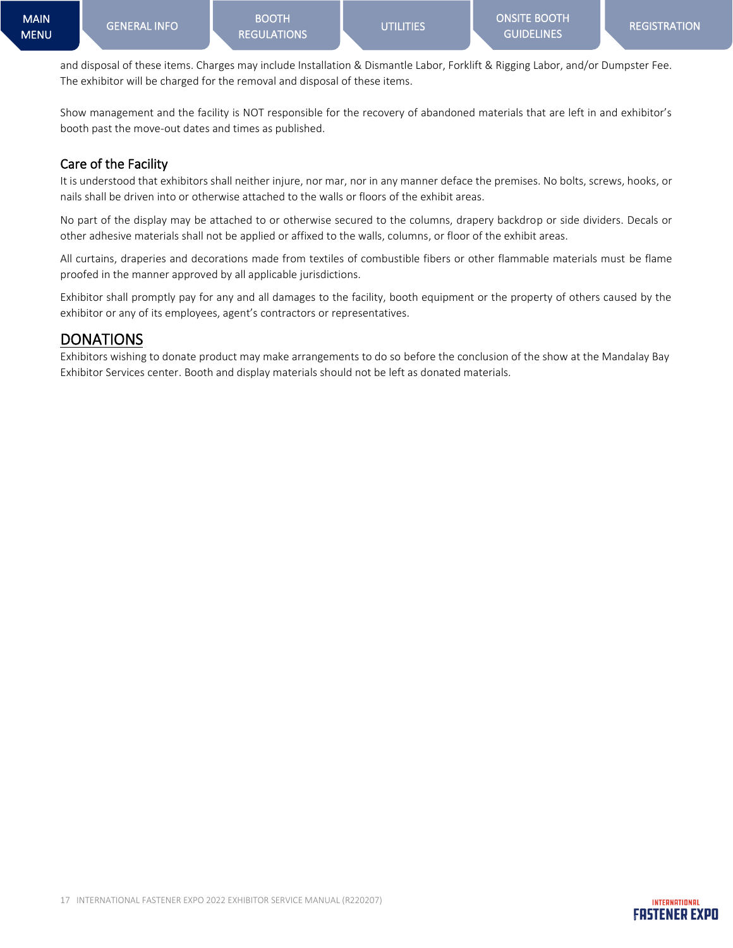and disposal of these items. Charges may include Installation & Dismantle Labor, Forklift & Rigging Labor, and/or Dumpster Fee. The exhibitor will be charged for the removal and disposal of these items.

Show management and the facility is NOT responsible for the recovery of abandoned materials that are left in and exhibitor's booth past the move-out dates and times as published.

# Care of the Facility

It is understood that exhibitors shall neither injure, nor mar, nor in any manner deface the premises. No bolts, screws, hooks, or nails shall be driven into or otherwise attached to the walls or floors of the exhibit areas.

No part of the display may be attached to or otherwise secured to the columns, drapery backdrop or side dividers. Decals or other adhesive materials shall not be applied or affixed to the walls, columns, or floor of the exhibit areas.

All curtains, draperies and decorations made from textiles of combustible fibers or other flammable materials must be flame proofed in the manner approved by all applicable jurisdictions.

Exhibitor shall promptly pay for any and all damages to the facility, booth equipment or the property of others caused by the exhibitor or any of its employees, agent's contractors or representatives.

# <span id="page-16-0"></span>**DONATIONS**

Exhibitors wishing to donate product may make arrangements to do so before the conclusion of the show at the Mandalay Bay Exhibitor Services center. Booth and display materials should not be left as donated materials.

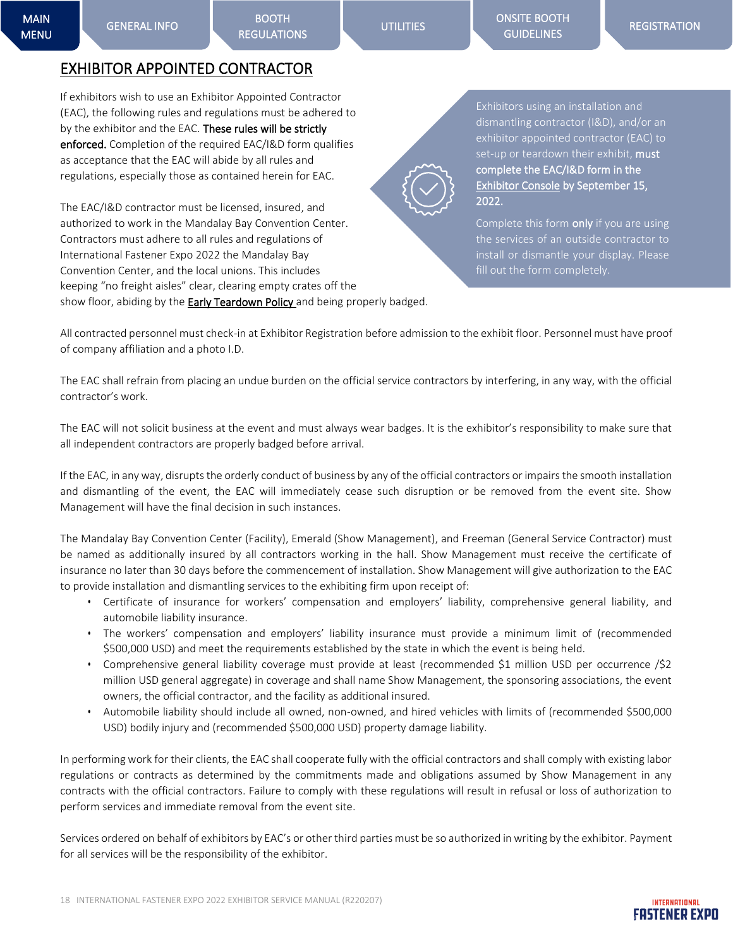# EXHIBITOR APPOINTED CONTRACTOR

If exhibitors wish to use an Exhibitor Appointed Contractor (EAC), the following rules and regulations must be adhered to by the exhibitor and the EAC. These rules will be strictly enforced. Completion of the required EAC/I&D form qualifies as acceptance that the EAC will abide by all rules and regulations, especially those as contained herein for EAC.

The EAC/I&D contractor must be licensed, insured, and authorized to work in the Mandalay Bay Convention Center. Contractors must adhere to all rules and regulations of International Fastener Expo 2022 the Mandalay Bay Convention Center, and the local unions. This includes keeping "no freight aisles" clear, clearing empty crates off the show floor, abiding by the **Early Teardown Policy** and being properly badged. Exhibitors using an installation and dismantling contractor (I&D), and/or an exhibitor appointed contractor (EAC) to set-up or teardown their exhibit, **must** complete the EAC/I&D form in the [Exhibitor Console](https://fastener.a2zinc.net/IFE2022/public/e_exhibitorconsole.aspx) by September 15, 2022.

Complete this form only if you are using the services of an outside contractor to

All contracted personnel must check-in at Exhibitor Registration before admission to the exhibit floor. Personnel must have proof of company affiliation and a photo I.D.

The EAC shall refrain from placing an undue burden on the official service contractors by interfering, in any way, with the official contractor's work.

The EAC will not solicit business at the event and must always wear badges. It is the exhibitor's responsibility to make sure that all independent contractors are properly badged before arrival.

If the EAC, in any way, disrupts the orderly conduct of business by any of the official contractors or impairs the smooth installation and dismantling of the event, the EAC will immediately cease such disruption or be removed from the event site. Show Management will have the final decision in such instances.

The Mandalay Bay Convention Center (Facility), Emerald (Show Management), and Freeman (General Service Contractor) must be named as additionally insured by all contractors working in the hall. Show Management must receive the certificate of insurance no later than 30 days before the commencement of installation. Show Management will give authorization to the EAC to provide installation and dismantling services to the exhibiting firm upon receipt of:

- Certificate of insurance for workers' compensation and employers' liability, comprehensive general liability, and automobile liability insurance.
- The workers' compensation and employers' liability insurance must provide a minimum limit of (recommended \$500,000 USD) and meet the requirements established by the state in which the event is being held.
- Comprehensive general liability coverage must provide at least (recommended \$1 million USD per occurrence /\$2 million USD general aggregate) in coverage and shall name Show Management, the sponsoring associations, the event owners, the official contractor, and the facility as additional insured.
- Automobile liability should include all owned, non-owned, and hired vehicles with limits of (recommended \$500,000 USD) bodily injury and (recommended \$500,000 USD) property damage liability.

In performing work for their clients, the EAC shall cooperate fully with the official contractors and shall comply with existing labor regulations or contracts as determined by the commitments made and obligations assumed by Show Management in any contracts with the official contractors. Failure to comply with these regulations will result in refusal or loss of authorization to perform services and immediate removal from the event site.

Services ordered on behalf of exhibitors by EAC's or other third parties must be so authorized in writing by the exhibitor. Payment for all services will be the responsibility of the exhibitor.

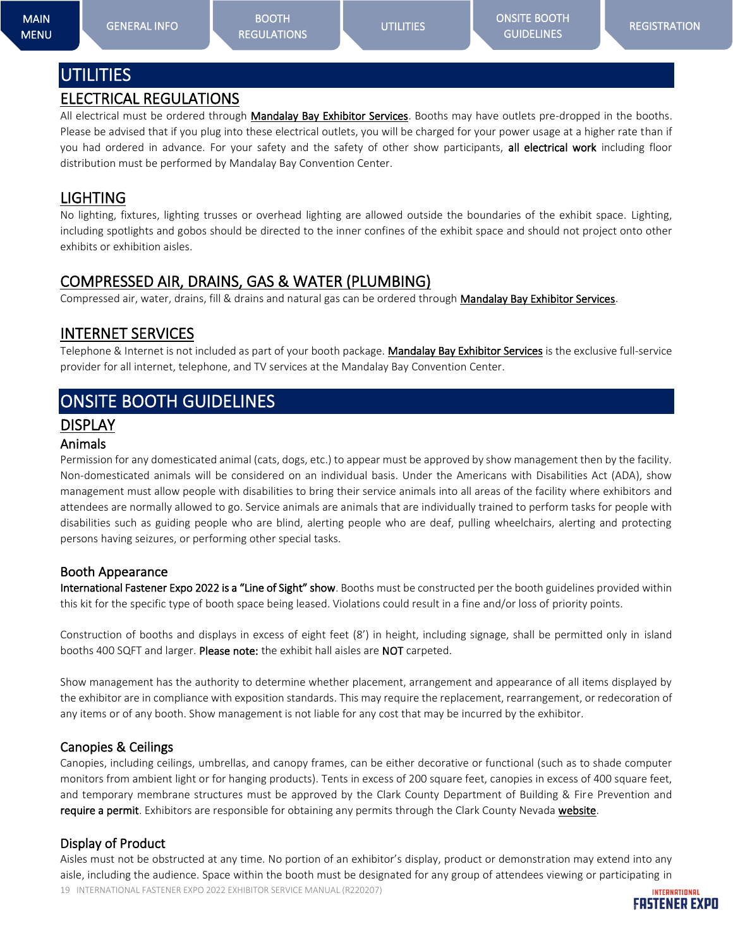# <span id="page-18-0"></span>**UTILITIES**

### <span id="page-18-1"></span>ELECTRICAL REGULATIONS

All electrical must be ordered through [Mandalay Bay Exhibitor Services.](https://www.mandalaybayexhibitorservices.com/Pages/Security/Login.aspx?ReturnUrl=%2fPages%2fCustomer%2fDashboard.aspx) Booths may have outlets pre-dropped in the booths. Please be advised that if you plug into these electrical outlets, you will be charged for your power usage at a higher rate than if you had ordered in advance. For your safety and the safety of other show participants, all electrical work including floor distribution must be performed by Mandalay Bay Convention Center.

# <span id="page-18-2"></span>LIGHTING

No lighting, fixtures, lighting trusses or overhead lighting are allowed outside the boundaries of the exhibit space. Lighting, including spotlights and gobos should be directed to the inner confines of the exhibit space and should not project onto other exhibits or exhibition aisles.

# <span id="page-18-3"></span>COMPRESSED AIR, DRAINS, GAS & WATER (PLUMBING)

Compressed air, water, drains, fill & drains and natural gas can be ordered through [Mandalay Bay Exhibitor Services.](https://www.mandalaybayexhibitorservices.com/Pages/Security/Login.aspx?ReturnUrl=%2fPages%2fCustomer%2fDashboard.aspx)

# <span id="page-18-4"></span>INTERNET SERVICES

Telephone & Internet is not included as part of your booth package. [Mandalay Bay Exhibitor Services](https://www.mandalaybayexhibitorservices.com/Pages/Security/Login.aspx?ReturnUrl=%2fPages%2fCustomer%2fDashboard.aspx) is the exclusive full-service provider for all internet, telephone, and TV services at the Mandalay Bay Convention Center.

# <span id="page-18-11"></span><span id="page-18-5"></span>ONSITE BOOTH GUIDELINES

### <span id="page-18-6"></span>DISPLAY

#### <span id="page-18-7"></span>Animals

Permission for any domesticated animal (cats, dogs, etc.) to appear must be approved by show management then by the facility. Non-domesticated animals will be considered on an individual basis. Under the Americans with Disabilities Act (ADA), show management must allow people with disabilities to bring their service animals into all areas of the facility where exhibitors and attendees are normally allowed to go. Service animals are animals that are individually trained to perform tasks for people with disabilities such as guiding people who are blind, alerting people who are deaf, pulling wheelchairs, alerting and protecting persons having seizures, or performing other special tasks.

#### <span id="page-18-8"></span>Booth Appearance

International Fastener Expo 2022 is a "Line of Sight" show. Booths must be constructed per the booth guidelines provided within this kit for the specific type of booth space being leased. Violations could result in a fine and/or loss of priority points.

Construction of booths and displays in excess of eight feet (8') in height, including signage, shall be permitted only in island booths 400 SQFT and larger. Please note: the exhibit hall aisles are NOT carpeted.

Show management has the authority to determine whether placement, arrangement and appearance of all items displayed by the exhibitor are in compliance with exposition standards. This may require the replacement, rearrangement, or redecoration of any items or of any booth. Show management is not liable for any cost that may be incurred by the exhibitor.

#### <span id="page-18-9"></span>Canopies & Ceilings

Canopies, including ceilings, umbrellas, and canopy frames, can be either decorative or functional (such as to shade computer monitors from ambient light or for hanging products). Tents in excess of 200 square feet, canopies in excess of 400 square feet, and temporary membrane structures must be approved by the Clark County Department of Building & Fire Prevention and require a permit. Exhibitors are responsible for obtaining any permits through the Clark County Nevad[a website.](https://www.clarkcountynv.gov/government/departments/building___fire_prevention/want_to_apply_for_a_permit_.php)

#### <span id="page-18-10"></span>Display of Product

19 INTERNATIONAL FASTENER EXPO 2022 EXHIBITOR SERVICE MANUAL (R220207) Aisles must not be obstructed at any time. No portion of an exhibitor's display, product or demonstration may extend into any aisle, including the audience. Space within the booth must be designated for any group of attendees viewing or participating in

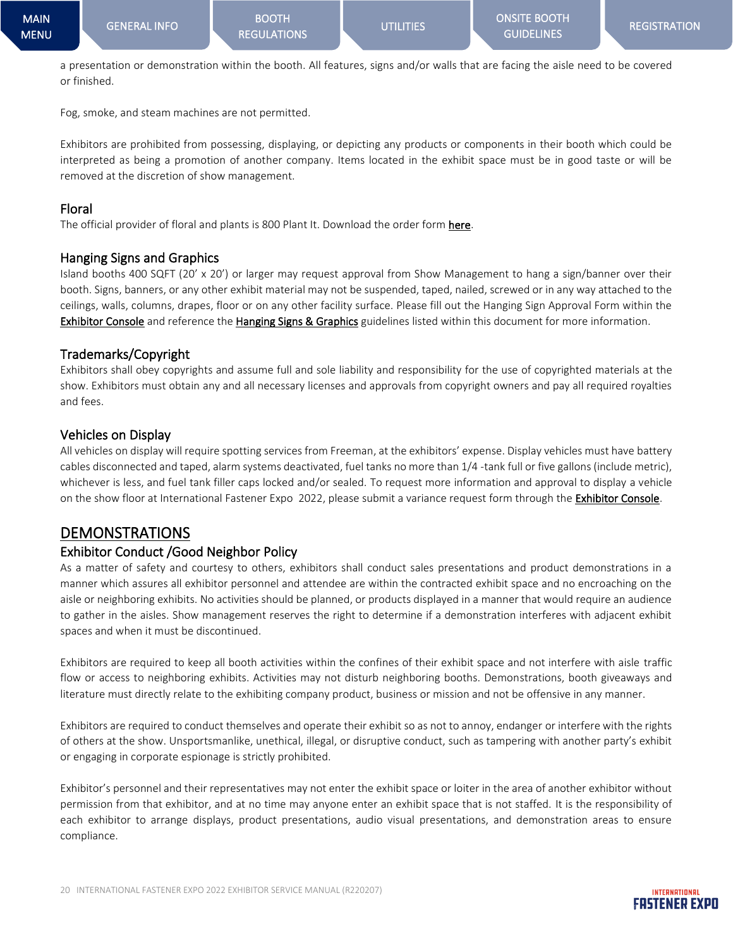a presentation or demonstration within the booth. All features, signs and/or walls that are facing the aisle need to be covered or finished.

Fog, smoke, and steam machines are not permitted.

Exhibitors are prohibited from possessing, displaying, or depicting any products or components in their booth which could be interpreted as being a promotion of another company. Items located in the exhibit space must be in good taste or will be removed at the discretion of show management.

#### <span id="page-19-0"></span>Floral

The official provider of floral and plants is 800 Plant It. Download the order form [here.](https://www.freemanco.com/forms/509847/floral_plants.pdf)

#### <span id="page-19-1"></span>Hanging Signs and Graphics

Island booths 400 SQFT (20' x 20') or larger may request approval from Show Management to hang a sign/banner over their booth. Signs, banners, or any other exhibit material may not be suspended, taped, nailed, screwed or in any way attached to the ceilings, walls, columns, drapes, floor or on any other facility surface. Please fill out the Hanging Sign Approval Form within the [Exhibitor Console](https://fastener.a2zinc.net/IFE2022/public/e_exhibitorconsole.aspx) and reference the [Hanging Signs & Graphics](#page-7-1) guidelines listed within this document for more information.

#### <span id="page-19-2"></span>Trademarks/Copyright

Exhibitors shall obey copyrights and assume full and sole liability and responsibility for the use of copyrighted materials at the show. Exhibitors must obtain any and all necessary licenses and approvals from copyright owners and pay all required royalties and fees.

#### <span id="page-19-3"></span>Vehicles on Display

All vehicles on display will require spotting services from Freeman, at the exhibitors' expense. Display vehicles must have battery cables disconnected and taped, alarm systems deactivated, fuel tanks no more than 1/4 -tank full or five gallons (include metric), whichever is less, and fuel tank filler caps locked and/or sealed. To request more information and approval to display a vehicle on the show floor at International Fastener Expo 2022, please submit a variance request form through th[e Exhibitor Console.](https://fastener.a2zinc.net/IFE2022/public/e_exhibitorconsole.aspx)

#### <span id="page-19-4"></span>DEMONSTRATIONS

#### <span id="page-19-5"></span>Exhibitor Conduct /Good Neighbor Policy

As a matter of safety and courtesy to others, exhibitors shall conduct sales presentations and product demonstrations in a manner which assures all exhibitor personnel and attendee are within the contracted exhibit space and no encroaching on the aisle or neighboring exhibits. No activities should be planned, or products displayed in a manner that would require an audience to gather in the aisles. Show management reserves the right to determine if a demonstration interferes with adjacent exhibit spaces and when it must be discontinued.

Exhibitors are required to keep all booth activities within the confines of their exhibit space and not interfere with aisle traffic flow or access to neighboring exhibits. Activities may not disturb neighboring booths. Demonstrations, booth giveaways and literature must directly relate to the exhibiting company product, business or mission and not be offensive in any manner.

Exhibitors are required to conduct themselves and operate their exhibit so as not to annoy, endanger or interfere with the rights of others at the show. Unsportsmanlike, unethical, illegal, or disruptive conduct, such as tampering with another party's exhibit or engaging in corporate espionage is strictly prohibited.

Exhibitor's personnel and their representatives may not enter the exhibit space or loiter in the area of another exhibitor without permission from that exhibitor, and at no time may anyone enter an exhibit space that is not staffed. It is the responsibility of each exhibitor to arrange displays, product presentations, audio visual presentations, and demonstration areas to ensure compliance.

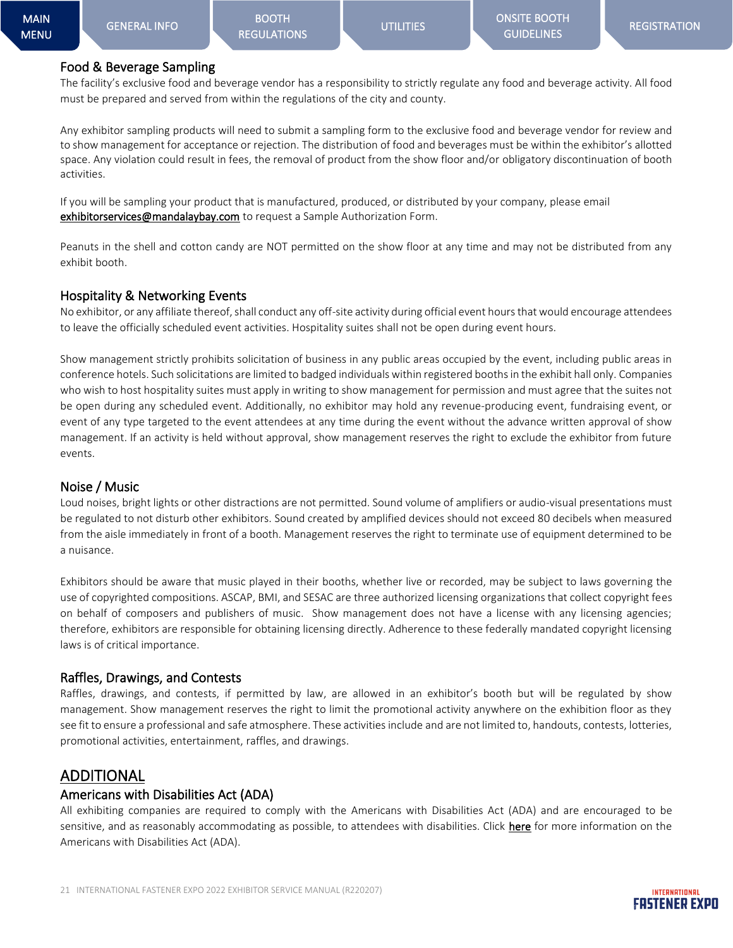#### <span id="page-20-0"></span>Food & Beverage Sampling

The facility's exclusive food and beverage vendor has a responsibility to strictly regulate any food and beverage activity. All food must be prepared and served from within the regulations of the city and county.

Any exhibitor sampling products will need to submit a sampling form to the exclusive food and beverage vendor for review and to show management for acceptance or rejection. The distribution of food and beverages must be within the exhibitor's allotted space. Any violation could result in fees, the removal of product from the show floor and/or obligatory discontinuation of booth activities.

If you will be sampling your product that is manufactured, produced, or distributed by your company, please email [exhibitorservices@mandalaybay.com](mailto:exhibitorservices@mandalaybay.com) to request a Sample Authorization Form.

Peanuts in the shell and cotton candy are NOT permitted on the show floor at any time and may not be distributed from any exhibit booth.

#### <span id="page-20-1"></span>Hospitality & Networking Events

No exhibitor, or any affiliate thereof, shall conduct any off-site activity during official event hours that would encourage attendees to leave the officially scheduled event activities. Hospitality suites shall not be open during event hours.

Show management strictly prohibits solicitation of business in any public areas occupied by the event, including public areas in conference hotels. Such solicitations are limited to badged individuals within registered booths in the exhibit hall only. Companies who wish to host hospitality suites must apply in writing to show management for permission and must agree that the suites not be open during any scheduled event. Additionally, no exhibitor may hold any revenue-producing event, fundraising event, or event of any type targeted to the event attendees at any time during the event without the advance written approval of show management. If an activity is held without approval, show management reserves the right to exclude the exhibitor from future events.

#### <span id="page-20-2"></span>Noise / Music

Loud noises, bright lights or other distractions are not permitted. Sound volume of amplifiers or audio-visual presentations must be regulated to not disturb other exhibitors. Sound created by amplified devices should not exceed 80 decibels when measured from the aisle immediately in front of a booth. Management reserves the right to terminate use of equipment determined to be a nuisance.

Exhibitors should be aware that music played in their booths, whether live or recorded, may be subject to laws governing the use of copyrighted compositions. ASCAP, BMI, and SESAC are three authorized licensing organizations that collect copyright fees on behalf of composers and publishers of music. Show management does not have a license with any licensing agencies; therefore, exhibitors are responsible for obtaining licensing directly. Adherence to these federally mandated copyright licensing laws is of critical importance.

#### <span id="page-20-3"></span>Raffles, Drawings, and Contests

Raffles, drawings, and contests, if permitted by law, are allowed in an exhibitor's booth but will be regulated by show management. Show management reserves the right to limit the promotional activity anywhere on the exhibition floor as they see fit to ensure a professional and safe atmosphere. These activities include and are not limited to, handouts, contests, lotteries, promotional activities, entertainment, raffles, and drawings.

#### <span id="page-20-4"></span>ADDITIONAL

#### <span id="page-20-5"></span>Americans with Disabilities Act (ADA)

All exhibiting companies are required to comply with the Americans with Disabilities Act (ADA) and are encouraged to be sensitive, and as reasonably accommodating as possible, to attendees with disabilities. Click [here](https://www.ada.gov/) for more information on the Americans with Disabilities Act (ADA).

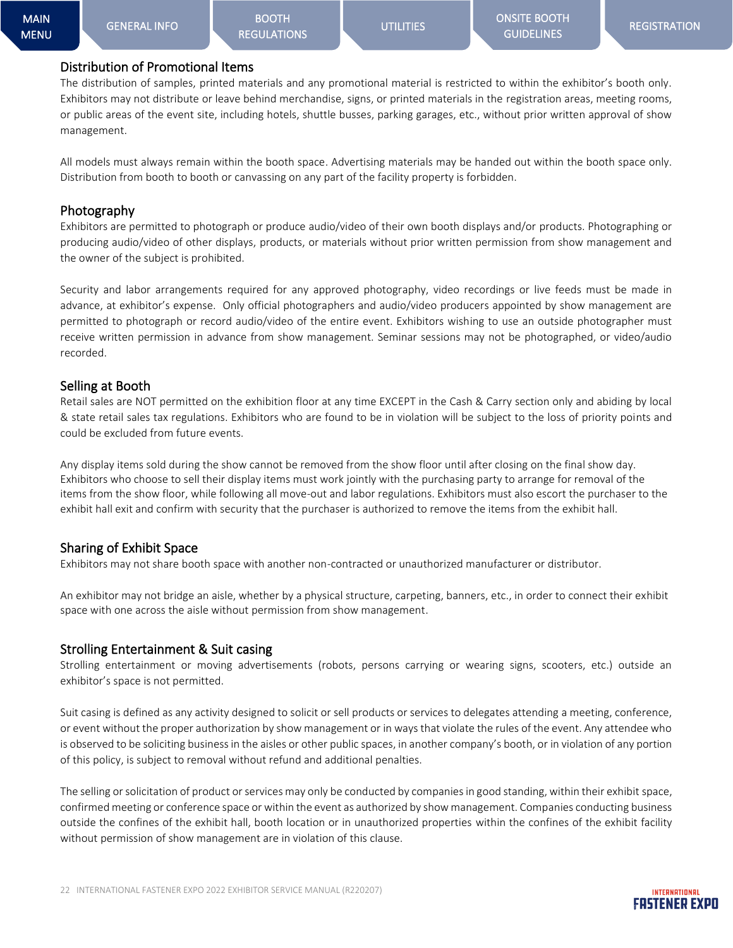### <span id="page-21-0"></span>Distribution of Promotional Items

The distribution of samples, printed materials and any promotional material is restricted to within the exhibitor's booth only. Exhibitors may not distribute or leave behind merchandise, signs, or printed materials in the registration areas, meeting rooms, or public areas of the event site, including hotels, shuttle busses, parking garages, etc., without prior written approval of show management.

All models must always remain within the booth space. Advertising materials may be handed out within the booth space only. Distribution from booth to booth or canvassing on any part of the facility property is forbidden.

#### <span id="page-21-1"></span>Photography

Exhibitors are permitted to photograph or produce audio/video of their own booth displays and/or products. Photographing or producing audio/video of other displays, products, or materials without prior written permission from show management and the owner of the subject is prohibited.

Security and labor arrangements required for any approved photography, video recordings or live feeds must be made in advance, at exhibitor's expense. Only official photographers and audio/video producers appointed by show management are permitted to photograph or record audio/video of the entire event. Exhibitors wishing to use an outside photographer must receive written permission in advance from show management. Seminar sessions may not be photographed, or video/audio recorded.

#### <span id="page-21-2"></span>Selling at Booth

Retail sales are NOT permitted on the exhibition floor at any time EXCEPT in the Cash & Carry section only and abiding by local & state retail sales tax regulations. Exhibitors who are found to be in violation will be subject to the loss of priority points and could be excluded from future events.

Any display items sold during the show cannot be removed from the show floor until after closing on the final show day. Exhibitors who choose to sell their display items must work jointly with the purchasing party to arrange for removal of the items from the show floor, while following all move-out and labor regulations. Exhibitors must also escort the purchaser to the exhibit hall exit and confirm with security that the purchaser is authorized to remove the items from the exhibit hall.

#### <span id="page-21-3"></span>Sharing of Exhibit Space

Exhibitors may not share booth space with another non-contracted or unauthorized manufacturer or distributor.

An exhibitor may not bridge an aisle, whether by a physical structure, carpeting, banners, etc., in order to connect their exhibit space with one across the aisle without permission from show management.

#### <span id="page-21-4"></span>Strolling Entertainment & Suit casing

Strolling entertainment or moving advertisements (robots, persons carrying or wearing signs, scooters, etc.) outside an exhibitor's space is not permitted.

Suit casing is defined as any activity designed to solicit or sell products or services to delegates attending a meeting, conference, or event without the proper authorization by show management or in ways that violate the rules of the event. Any attendee who is observed to be soliciting business in the aisles or other public spaces, in another company's booth, or in violation of any portion of this policy, is subject to removal without refund and additional penalties.

The selling or solicitation of product or services may only be conducted by companies in good standing, within their exhibit space, confirmed meeting or conference space or within the event as authorized by show management. Companies conducting business outside the confines of the exhibit hall, booth location or in unauthorized properties within the confines of the exhibit facility without permission of show management are in violation of this clause.

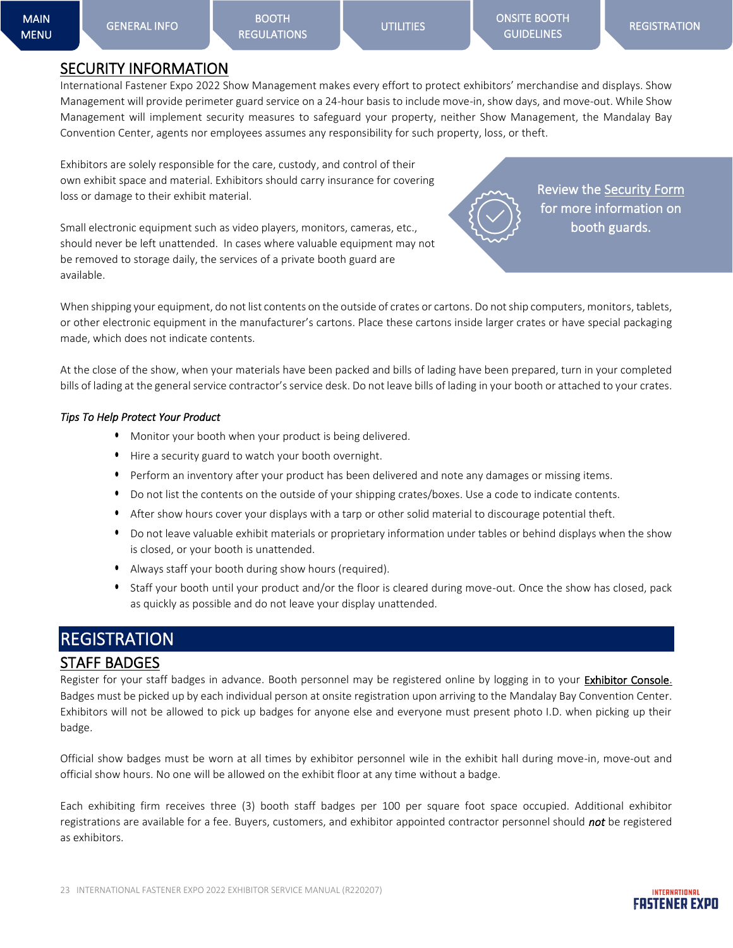### <span id="page-22-0"></span>SECURITY INFORMATION

International Fastener Expo 2022 Show Management makes every effort to protect exhibitors' merchandise and displays. Show Management will provide perimeter guard service on a 24-hour basis to include move-in, show days, and move-out. While Show Management will implement security measures to safeguard your property, neither Show Management, the Mandalay Bay Convention Center, agents nor employees assumes any responsibility for such property, loss, or theft.

Exhibitors are solely responsible for the care, custody, and control of their own exhibit space and material. Exhibitors should carry insurance for covering loss or damage to their exhibit material.

Small electronic equipment such as video players, monitors, cameras, etc., should never be left unattended. In cases where valuable equipment may not be removed to storage daily, the services of a private booth guard are available.

Review the [Security Form](https://www.freemanco.com/forms/509847/security.pdf)  for more information on booth guards.

When shipping your equipment, do not list contents on the outside of crates or cartons. Do not ship computers, monitors, tablets, or other electronic equipment in the manufacturer's cartons. Place these cartons inside larger crates or have special packaging made, which does not indicate contents.

At the close of the show, when your materials have been packed and bills of lading have been prepared, turn in your completed bills of lading at the general service contractor's service desk. Do not leave bills of lading in your booth or attached to your crates.

#### *Tips To Help Protect Your Product*

- Monitor your booth when your product is being delivered.
- Hire a security guard to watch your booth overnight.
- Perform an inventory after your product has been delivered and note any damages or missing items.
- Do not list the contents on the outside of your shipping crates/boxes. Use a code to indicate contents.
- After show hours cover your displays with a tarp or other solid material to discourage potential theft.
- Do not leave valuable exhibit materials or proprietary information under tables or behind displays when the show is closed, or your booth is unattended.
- Always staff your booth during show hours (required).
- Staff your booth until your product and/or the floor is cleared during move-out. Once the show has closed, pack as quickly as possible and do not leave your display unattended.

# <span id="page-22-1"></span>REGISTRATION

#### <span id="page-22-2"></span>STAFF BADGES

Register for your staff badges in advance. Booth personnel may be registered online by logging in to your [Exhibitor Console.](https://fastener.a2zinc.net/IFE2022/public/e_exhibitorconsole.aspx) Badges must be picked up by each individual person at onsite registration upon arriving to the Mandalay Bay Convention Center. Exhibitors will not be allowed to pick up badges for anyone else and everyone must present photo I.D. when picking up their badge.

Official show badges must be worn at all times by exhibitor personnel wile in the exhibit hall during move-in, move-out and official show hours. No one will be allowed on the exhibit floor at any time without a badge.

Each exhibiting firm receives three (3) booth staff badges per 100 per square foot space occupied. Additional exhibitor registrations are available for a fee. Buyers, customers, and exhibitor appointed contractor personnel should *not* be registered as exhibitors.

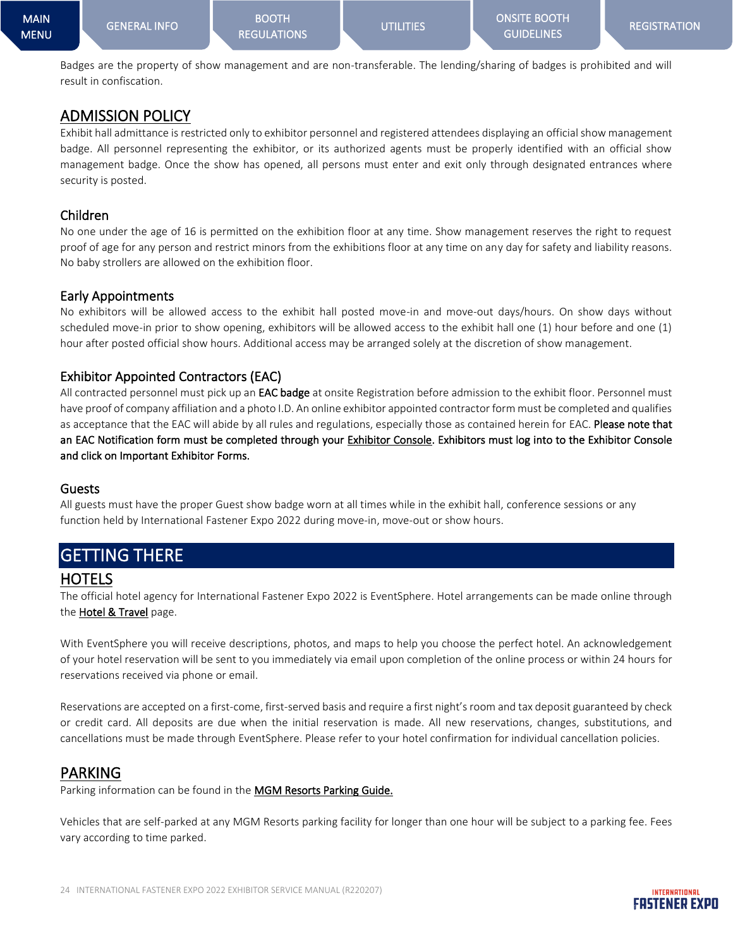Badges are the property of show management and are non-transferable. The lending/sharing of badges is prohibited and will result in confiscation.

# <span id="page-23-0"></span>ADMISSION POLICY

Exhibit hall admittance is restricted only to exhibitor personnel and registered attendees displaying an official show management badge. All personnel representing the exhibitor, or its authorized agents must be properly identified with an official show management badge. Once the show has opened, all persons must enter and exit only through designated entrances where security is posted.

#### <span id="page-23-1"></span>Children

No one under the age of 16 is permitted on the exhibition floor at any time. Show management reserves the right to request proof of age for any person and restrict minors from the exhibitions floor at any time on any day for safety and liability reasons. No baby strollers are allowed on the exhibition floor.

#### <span id="page-23-2"></span>Early Appointments

No exhibitors will be allowed access to the exhibit hall posted move-in and move-out days/hours. On show days without scheduled move-in prior to show opening, exhibitors will be allowed access to the exhibit hall one (1) hour before and one (1) hour after posted official show hours. Additional access may be arranged solely at the discretion of show management.

#### <span id="page-23-3"></span>Exhibitor Appointed Contractors (EAC)

All contracted personnel must pick up an EAC badge at onsite Registration before admission to the exhibit floor. Personnel must have proof of company affiliation and a photo I.D. An online exhibitor appointed contractor form must be completed and qualifies as acceptance that the EAC will abide by all rules and regulations, especially those as contained herein for EAC. Please note that an EAC Notification form must be completed through your [Exhibitor Console.](https://fastener.a2zinc.net/IFE2022/public/e_exhibitorconsole.aspx) Exhibitors must log into to the Exhibitor Console and click on Important Exhibitor Forms.

#### <span id="page-23-4"></span>Guests

All guests must have the proper Guest show badge worn at all times while in the exhibit hall, conference sessions or any function held by International Fastener Expo 2022 during move-in, move-out or show hours.

# <span id="page-23-5"></span>GETTING THERE

# <span id="page-23-6"></span>**HOTELS**

The official hotel agency for International Fastener Expo 2022 is EventSphere. Hotel arrangements can be made online through the **Hotel & Travel** page.

With EventSphere you will receive descriptions, photos, and maps to help you choose the perfect hotel. An acknowledgement of your hotel reservation will be sent to you immediately via email upon completion of the online process or within 24 hours for reservations received via phone or email.

Reservations are accepted on a first-come, first-served basis and require a first night's room and tax deposit guaranteed by check or credit card. All deposits are due when the initial reservation is made. All new reservations, changes, substitutions, and cancellations must be made through EventSphere. Please refer to your hotel confirmation for individual cancellation policies.

#### <span id="page-23-7"></span>PARKING

Parking information can be found in the **MGM Resorts Parking Guide.** 

Vehicles that are self-parked at any MGM Resorts parking facility for longer than one hour will be subject to a parking fee. Fees vary according to time parked.